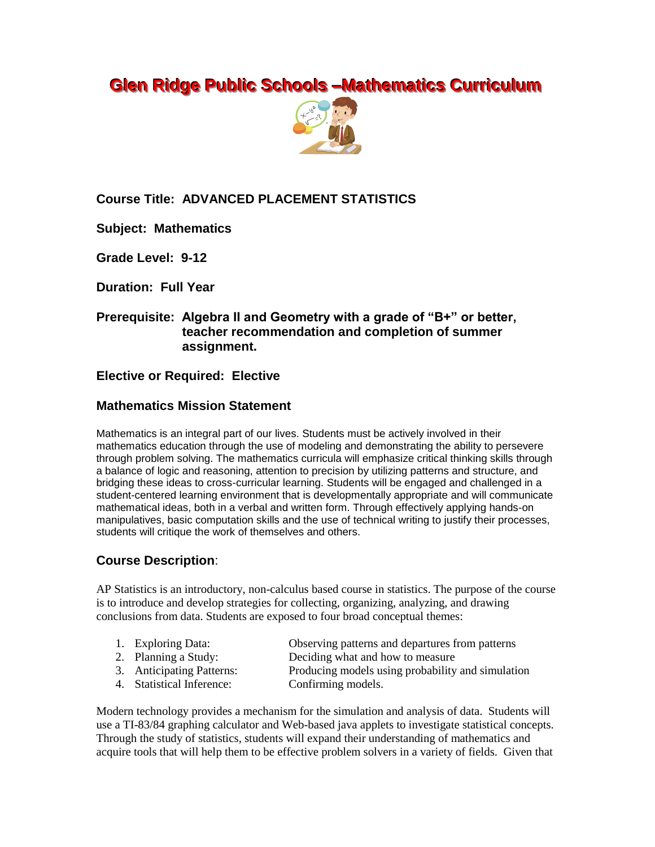# **Glen Ridge Public Schools -Mathematics Curriculum**



## **Course Title: ADVANCED PLACEMENT STATISTICS**

**Subject: Mathematics**

**Grade Level: 9-12**

**Duration: Full Year**

## **Prerequisite: Algebra II and Geometry with a grade of "B+" or better, teacher recommendation and completion of summer assignment.**

#### **Elective or Required: Elective**

#### **Mathematics Mission Statement**

Mathematics is an integral part of our lives. Students must be actively involved in their mathematics education through the use of modeling and demonstrating the ability to persevere through problem solving. The mathematics curricula will emphasize critical thinking skills through a balance of logic and reasoning, attention to precision by utilizing patterns and structure, and bridging these ideas to cross-curricular learning. Students will be engaged and challenged in a student-centered learning environment that is developmentally appropriate and will communicate mathematical ideas, both in a verbal and written form. Through effectively applying hands-on manipulatives, basic computation skills and the use of technical writing to justify their processes, students will critique the work of themselves and others.

## **Course Description**:

AP Statistics is an introductory, non-calculus based course in statistics. The purpose of the course is to introduce and develop strategies for collecting, organizing, analyzing, and drawing conclusions from data. Students are exposed to four broad conceptual themes:

- 1. Exploring Data: Observing patterns and departures from patterns
- 

2. Planning a Study: Deciding what and how to measure

- -
- 4. Statistical Inference: Confirming models.
- 3. Anticipating Patterns: Producing models using probability and simulation

Modern technology provides a mechanism for the simulation and analysis of data. Students will use a TI-83/84 graphing calculator and Web-based java applets to investigate statistical concepts. Through the study of statistics, students will expand their understanding of mathematics and acquire tools that will help them to be effective problem solvers in a variety of fields. Given that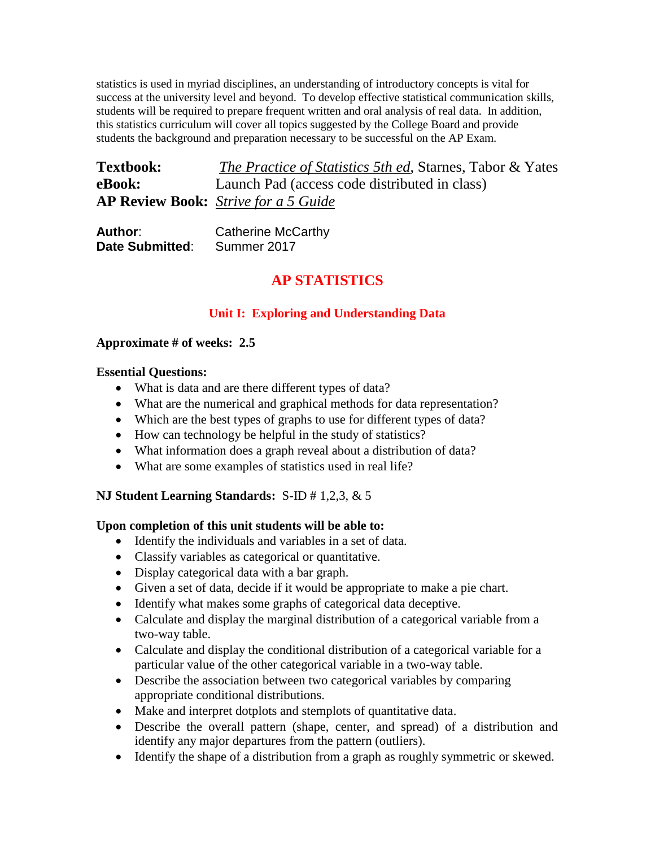statistics is used in myriad disciplines, an understanding of introductory concepts is vital for success at the university level and beyond. To develop effective statistical communication skills, students will be required to prepare frequent written and oral analysis of real data. In addition, this statistics curriculum will cover all topics suggested by the College Board and provide students the background and preparation necessary to be successful on the AP Exam.

| <b>Textbook:</b> | <i>The Practice of Statistics 5th ed, Starnes, Tabor &amp; Yates</i> |
|------------------|----------------------------------------------------------------------|
| eBook:           | Launch Pad (access code distributed in class)                        |
|                  | <b>AP Review Book:</b> Strive for a 5 Guide                          |

| Author:         | <b>Catherine McCarthy</b> |
|-----------------|---------------------------|
| Date Submitted: | Summer 2017               |

## **AP STATISTICS**

## **Unit I: Exploring and Understanding Data**

## **Approximate # of weeks: 2.5**

#### **Essential Questions:**

- What is data and are there different types of data?
- What are the numerical and graphical methods for data representation?
- Which are the best types of graphs to use for different types of data?
- How can technology be helpful in the study of statistics?
- What information does a graph reveal about a distribution of data?
- What are some examples of statistics used in real life?

## **NJ Student Learning Standards:** S-ID # 1,2,3, & 5

## **Upon completion of this unit students will be able to:**

- Identify the individuals and variables in a set of data.
- Classify variables as categorical or quantitative.
- Display categorical data with a bar graph.
- Given a set of data, decide if it would be appropriate to make a pie chart.
- Identify what makes some graphs of categorical data deceptive.
- Calculate and display the marginal distribution of a categorical variable from a two-way table.
- Calculate and display the conditional distribution of a categorical variable for a particular value of the other categorical variable in a two-way table.
- Describe the association between two categorical variables by comparing appropriate conditional distributions.
- Make and interpret dotplots and stemplots of quantitative data.
- Describe the overall pattern (shape, center, and spread) of a distribution and identify any major departures from the pattern (outliers).
- Identify the shape of a distribution from a graph as roughly symmetric or skewed.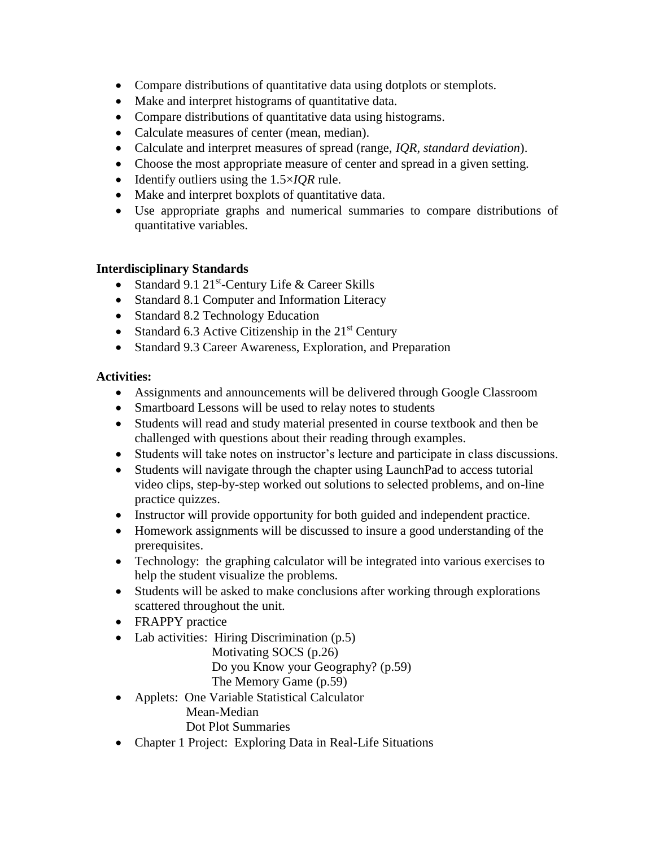- Compare distributions of quantitative data using dotplots or stemplots.
- Make and interpret histograms of quantitative data.
- Compare distributions of quantitative data using histograms.
- Calculate measures of center (mean, median).
- Calculate and interpret measures of spread (range, *IQR, standard deviation*).
- Choose the most appropriate measure of center and spread in a given setting.
- Identify outliers using the 1.5×*IQR* rule.
- Make and interpret boxplots of quantitative data.
- Use appropriate graphs and numerical summaries to compare distributions of quantitative variables.

#### **Interdisciplinary Standards**

- Standard 9.1 21<sup>st</sup>-Century Life & Career Skills
- Standard 8.1 Computer and Information Literacy
- Standard 8.2 Technology Education
- Standard 6.3 Active Citizenship in the  $21<sup>st</sup>$  Century
- Standard 9.3 Career Awareness, Exploration, and Preparation

#### **Activities:**

- Assignments and announcements will be delivered through Google Classroom
- Smartboard Lessons will be used to relay notes to students
- Students will read and study material presented in course textbook and then be challenged with questions about their reading through examples.
- Students will take notes on instructor's lecture and participate in class discussions.
- Students will navigate through the chapter using LaunchPad to access tutorial video clips, step-by-step worked out solutions to selected problems, and on-line practice quizzes.
- Instructor will provide opportunity for both guided and independent practice.
- Homework assignments will be discussed to insure a good understanding of the prerequisites.
- Technology: the graphing calculator will be integrated into various exercises to help the student visualize the problems.
- Students will be asked to make conclusions after working through explorations scattered throughout the unit.
- FRAPPY practice
- Lab activities: Hiring Discrimination (p.5)
	- Motivating SOCS (p.26)

Do you Know your Geography? (p.59)

- The Memory Game (p.59)
- Applets: One Variable Statistical Calculator Mean-Median
	- Dot Plot Summaries
- Chapter 1 Project: Exploring Data in Real-Life Situations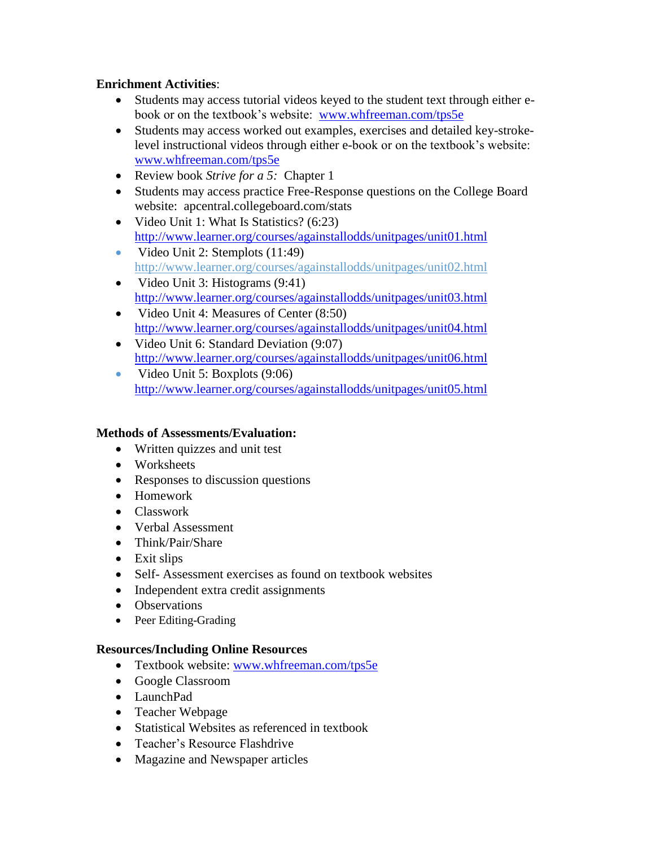## **Enrichment Activities**:

- Students may access tutorial videos keyed to the student text through either ebook or on the textbook's website: [www.whfreeman.com/tps5e](http://www.whfreeman.com/tps5e)
- Students may access worked out examples, exercises and detailed key-strokelevel instructional videos through either e-book or on the textbook's website: [www.whfreeman.com/tps5e](http://www.whfreeman.com/tps5e)
- Review book *Strive for a 5:* Chapter 1
- Students may access practice Free-Response questions on the College Board website: apcentral.collegeboard.com/stats
- Video Unit 1: What Is Statistics? (6:23) <http://www.learner.org/courses/againstallodds/unitpages/unit01.html>
- Video Unit 2: Stemplots  $(11:49)$ http://www.learner.org/courses/againstallodds/unitpages/unit02.html
- Video Unit 3: Histograms  $(9:41)$ <http://www.learner.org/courses/againstallodds/unitpages/unit03.html>
- Video Unit 4: Measures of Center (8:50) <http://www.learner.org/courses/againstallodds/unitpages/unit04.html>
- Video Unit 6: Standard Deviation (9:07) <http://www.learner.org/courses/againstallodds/unitpages/unit06.html>
- Video Unit 5: Boxplots  $(9:06)$ <http://www.learner.org/courses/againstallodds/unitpages/unit05.html>

## **Methods of Assessments/Evaluation:**

- Written quizzes and unit test
- Worksheets
- Responses to discussion questions
- Homework
- Classwork
- Verbal Assessment
- Think/Pair/Share
- Exit slips
- Self- Assessment exercises as found on textbook websites
- Independent extra credit assignments
- Observations
- Peer Editing-Grading

## **Resources/Including Online Resources**

- Textbook website: [www.whfreeman.com/tps5e](http://www.whfreeman.com/tps5e)
- Google Classroom
- LaunchPad
- Teacher Webpage
- Statistical Websites as referenced in textbook
- Teacher's Resource Flashdrive
- Magazine and Newspaper articles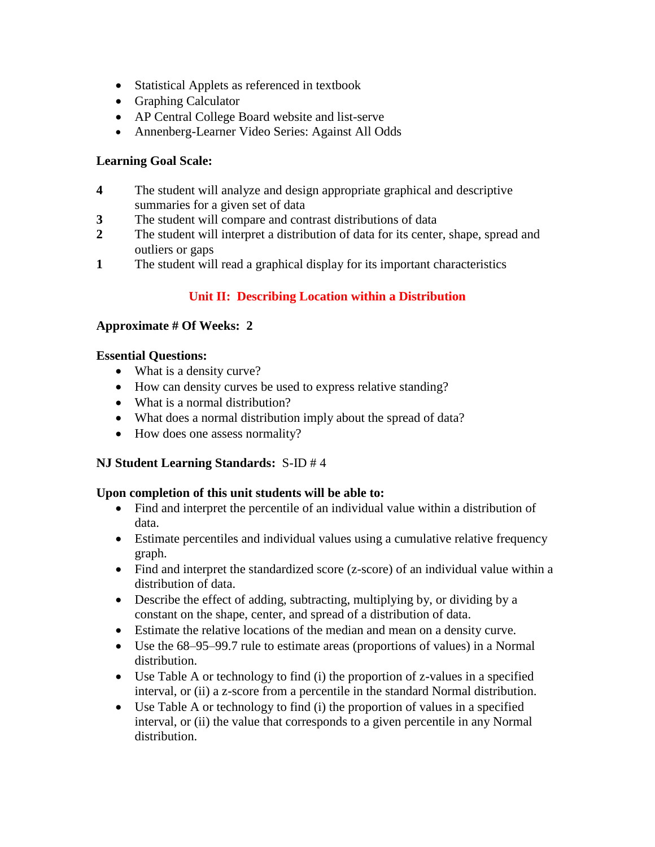- Statistical Applets as referenced in textbook
- Graphing Calculator
- AP Central College Board website and list-serve
- Annenberg-Learner Video Series: Against All Odds

## **Learning Goal Scale:**

- **4** The student will analyze and design appropriate graphical and descriptive summaries for a given set of data
- **3** The student will compare and contrast distributions of data
- **2** The student will interpret a distribution of data for its center, shape, spread and outliers or gaps
- **1** The student will read a graphical display for its important characteristics

## **Unit II: Describing Location within a Distribution**

## **Approximate # Of Weeks: 2**

## **Essential Questions:**

- What is a density curve?
- How can density curves be used to express relative standing?
- What is a normal distribution?
- What does a normal distribution imply about the spread of data?
- How does one assess normality?

## **NJ Student Learning Standards:** S-ID # 4

## **Upon completion of this unit students will be able to:**

- Find and interpret the percentile of an individual value within a distribution of data.
- Estimate percentiles and individual values using a cumulative relative frequency graph.
- Find and interpret the standardized score (z-score) of an individual value within a distribution of data.
- Describe the effect of adding, subtracting, multiplying by, or dividing by a constant on the shape, center, and spread of a distribution of data.
- Estimate the relative locations of the median and mean on a density curve.
- Use the 68–95–99.7 rule to estimate areas (proportions of values) in a Normal distribution.
- Use Table A or technology to find (i) the proportion of z-values in a specified interval, or (ii) a z-score from a percentile in the standard Normal distribution.
- $\bullet$  Use Table A or technology to find (i) the proportion of values in a specified interval, or (ii) the value that corresponds to a given percentile in any Normal distribution.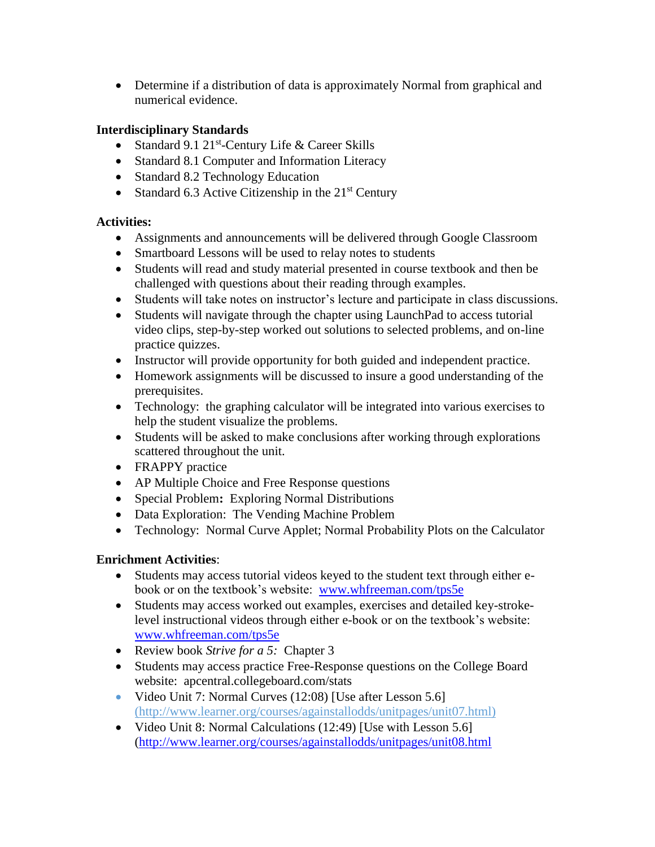• Determine if a distribution of data is approximately Normal from graphical and numerical evidence.

## **Interdisciplinary Standards**

- Standard 9.1 21<sup>st</sup>-Century Life & Career Skills
- Standard 8.1 Computer and Information Literacy
- Standard 8.2 Technology Education
- Standard 6.3 Active Citizenship in the  $21<sup>st</sup>$  Century

## **Activities:**

- Assignments and announcements will be delivered through Google Classroom
- Smartboard Lessons will be used to relay notes to students
- Students will read and study material presented in course textbook and then be challenged with questions about their reading through examples.
- Students will take notes on instructor's lecture and participate in class discussions.
- Students will navigate through the chapter using LaunchPad to access tutorial video clips, step-by-step worked out solutions to selected problems, and on-line practice quizzes.
- Instructor will provide opportunity for both guided and independent practice.
- Homework assignments will be discussed to insure a good understanding of the prerequisites.
- Technology: the graphing calculator will be integrated into various exercises to help the student visualize the problems.
- Students will be asked to make conclusions after working through explorations scattered throughout the unit.
- FRAPPY practice
- AP Multiple Choice and Free Response questions
- Special Problem**:** Exploring Normal Distributions
- Data Exploration: The Vending Machine Problem
- Technology: Normal Curve Applet; Normal Probability Plots on the Calculator

## **Enrichment Activities**:

- Students may access tutorial videos keyed to the student text through either ebook or on the textbook's website: [www.whfreeman.com/tps5e](http://www.whfreeman.com/tps5e)
- Students may access worked out examples, exercises and detailed key-strokelevel instructional videos through either e-book or on the textbook's website: [www.whfreeman.com/tps5e](http://www.whfreeman.com/tps5e)
- Review book *Strive for a 5:* Chapter 3
- Students may access practice Free-Response questions on the College Board website: apcentral.collegeboard.com/stats
- Video Unit 7: Normal Curves (12:08) [Use after Lesson 5.6] (http://www.learner.org/courses/againstallodds/unitpages/unit07.html)
- Video Unit 8: Normal Calculations (12:49) [Use with Lesson 5.6] [\(http://www.learner.org/courses/againstallodds/unitpages/unit08.html](http://www.learner.org/courses/againstallodds/unitpages/unit08.html)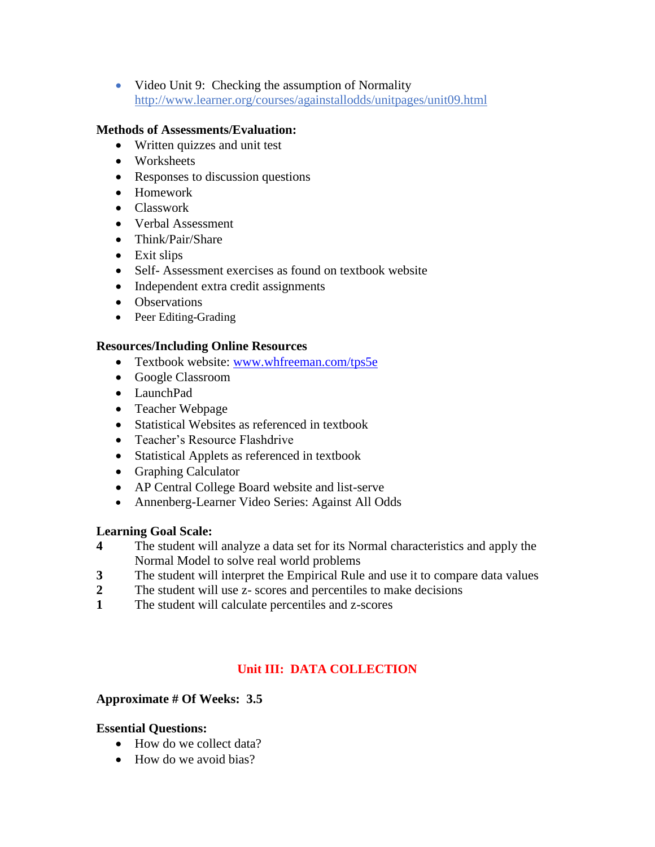• Video Unit 9: Checking the assumption of Normality http://www.learner.org/courses/againstallodds/unitpages/unit09.html

#### **Methods of Assessments/Evaluation:**

- Written quizzes and unit test
- Worksheets
- Responses to discussion questions
- Homework
- Classwork
- Verbal Assessment
- Think/Pair/Share
- Exit slips
- Self- Assessment exercises as found on textbook website
- Independent extra credit assignments
- Observations
- Peer Editing-Grading

#### **Resources/Including Online Resources**

- Textbook website: [www.whfreeman.com/tps5e](http://www.whfreeman.com/tps5e)
- Google Classroom
- LaunchPad
- Teacher Webpage
- Statistical Websites as referenced in textbook
- Teacher's Resource Flashdrive
- Statistical Applets as referenced in textbook
- Graphing Calculator
- AP Central College Board website and list-serve
- Annenberg-Learner Video Series: Against All Odds

#### **Learning Goal Scale:**

- **4** The student will analyze a data set for its Normal characteristics and apply the Normal Model to solve real world problems
- **3** The student will interpret the Empirical Rule and use it to compare data values
- **2** The student will use z- scores and percentiles to make decisions
- **1** The student will calculate percentiles and z-scores

## **Unit III: DATA COLLECTION**

#### **Approximate # Of Weeks: 3.5**

#### **Essential Questions:**

- How do we collect data?
- How do we avoid bias?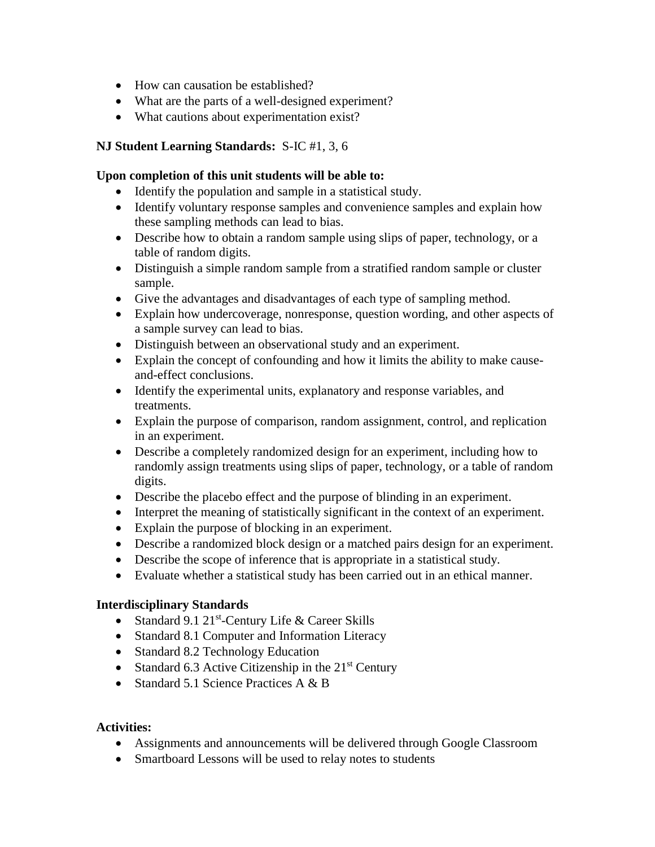- How can causation be established?
- What are the parts of a well-designed experiment?
- What cautions about experimentation exist?

## **NJ Student Learning Standards:** S-IC #1, 3, 6

### **Upon completion of this unit students will be able to:**

- Identify the population and sample in a statistical study.
- Identify voluntary response samples and convenience samples and explain how these sampling methods can lead to bias.
- Describe how to obtain a random sample using slips of paper, technology, or a table of random digits.
- Distinguish a simple random sample from a stratified random sample or cluster sample.
- Give the advantages and disadvantages of each type of sampling method.
- Explain how undercoverage, nonresponse, question wording, and other aspects of a sample survey can lead to bias.
- Distinguish between an observational study and an experiment.
- Explain the concept of confounding and how it limits the ability to make causeand-effect conclusions.
- Identify the experimental units, explanatory and response variables, and treatments.
- Explain the purpose of comparison, random assignment, control, and replication in an experiment.
- Describe a completely randomized design for an experiment, including how to randomly assign treatments using slips of paper, technology, or a table of random digits.
- Describe the placebo effect and the purpose of blinding in an experiment.
- Interpret the meaning of statistically significant in the context of an experiment.
- Explain the purpose of blocking in an experiment.
- Describe a randomized block design or a matched pairs design for an experiment.
- Describe the scope of inference that is appropriate in a statistical study.
- Evaluate whether a statistical study has been carried out in an ethical manner.

## **Interdisciplinary Standards**

- Standard 9.1 21<sup>st</sup>-Century Life & Career Skills
- Standard 8.1 Computer and Information Literacy
- Standard 8.2 Technology Education
- Standard 6.3 Active Citizenship in the  $21<sup>st</sup>$  Century
- Standard 5.1 Science Practices  $A \& B$

## **Activities:**

- Assignments and announcements will be delivered through Google Classroom
- Smartboard Lessons will be used to relay notes to students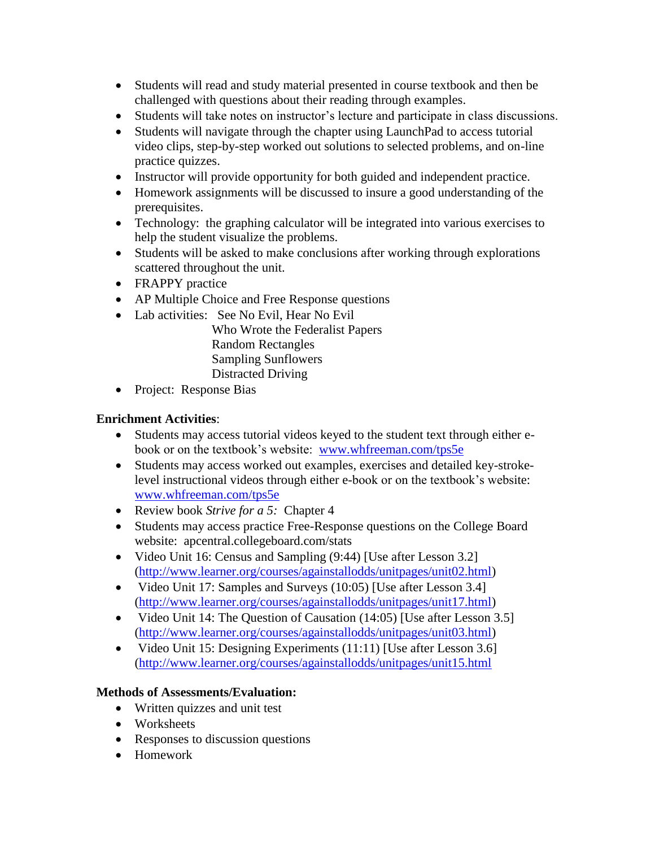- Students will read and study material presented in course textbook and then be challenged with questions about their reading through examples.
- Students will take notes on instructor's lecture and participate in class discussions.
- Students will navigate through the chapter using LaunchPad to access tutorial video clips, step-by-step worked out solutions to selected problems, and on-line practice quizzes.
- Instructor will provide opportunity for both guided and independent practice.
- Homework assignments will be discussed to insure a good understanding of the prerequisites.
- Technology: the graphing calculator will be integrated into various exercises to help the student visualize the problems.
- Students will be asked to make conclusions after working through explorations scattered throughout the unit.
- FRAPPY practice
- AP Multiple Choice and Free Response questions
- Lab activities: See No Evil, Hear No Evil
	- Who Wrote the Federalist Papers Random Rectangles Sampling Sunflowers Distracted Driving
- Project: Response Bias

## **Enrichment Activities**:

- Students may access tutorial videos keyed to the student text through either ebook or on the textbook's website: [www.whfreeman.com/tps5e](http://www.whfreeman.com/tps5e)
- Students may access worked out examples, exercises and detailed key-strokelevel instructional videos through either e-book or on the textbook's website: [www.whfreeman.com/tps5e](http://www.whfreeman.com/tps5e)
- Review book *Strive for a 5:* Chapter 4
- Students may access practice Free-Response questions on the College Board website: apcentral.collegeboard.com/stats
- Video Unit 16: Census and Sampling (9:44) [Use after Lesson 3.2] [\(http://www.learner.org/courses/againstallodds/unitpages/unit02.html\)](http://www.learner.org/courses/againstallodds/unitpages/unit02.html)
- Video Unit 17: Samples and Surveys (10:05) [Use after Lesson 3.4] [\(http://www.learner.org/courses/againstallodds/unitpages/unit17.html\)](http://www.learner.org/courses/againstallodds/unitpages/unit17.html)
- Video Unit 14: The Question of Causation (14:05) [Use after Lesson 3.5] [\(http://www.learner.org/courses/againstallodds/unitpages/unit03.html\)](http://www.learner.org/courses/againstallodds/unitpages/unit03.html)
- Video Unit 15: Designing Experiments  $(11:11)$  [Use after Lesson 3.6] [\(http://www.learner.org/courses/againstallodds/unitpages/unit15.html](http://www.learner.org/courses/againstallodds/unitpages/unit15.html)

## **Methods of Assessments/Evaluation:**

- Written quizzes and unit test
- Worksheets
- Responses to discussion questions
- Homework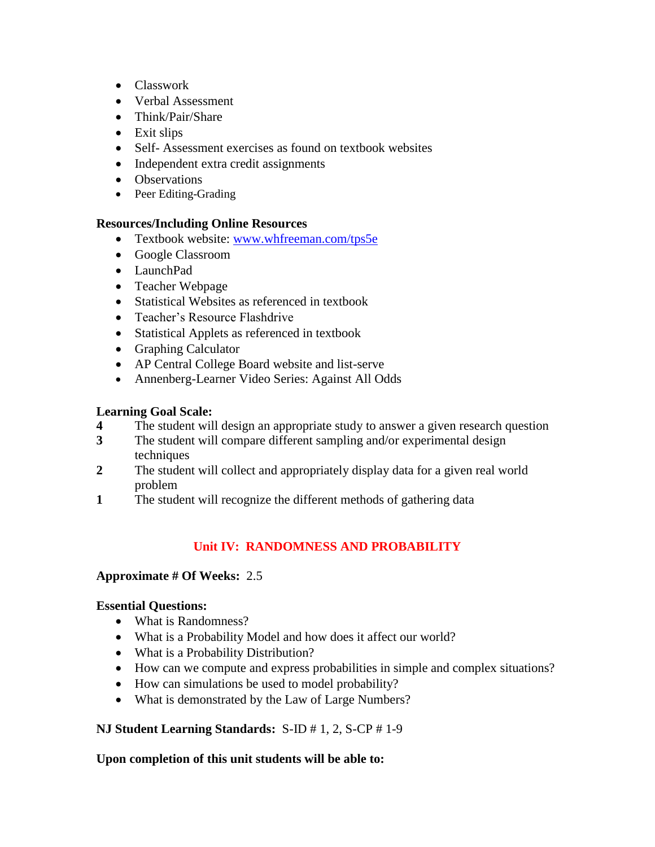- Classwork
- Verbal Assessment
- Think/Pair/Share
- Exit slips
- Self- Assessment exercises as found on textbook websites
- Independent extra credit assignments
- Observations
- Peer Editing-Grading

## **Resources/Including Online Resources**

- Textbook website: [www.whfreeman.com/tps5e](http://www.whfreeman.com/tps5e)
- Google Classroom
- LaunchPad
- Teacher Webpage
- Statistical Websites as referenced in textbook
- Teacher's Resource Flashdrive
- Statistical Applets as referenced in textbook
- Graphing Calculator
- AP Central College Board website and list-serve
- Annenberg-Learner Video Series: Against All Odds

## **Learning Goal Scale:**

- **4** The student will design an appropriate study to answer a given research question
- **3** The student will compare different sampling and/or experimental design techniques
- **2** The student will collect and appropriately display data for a given real world problem
- **1** The student will recognize the different methods of gathering data

## **Unit IV: RANDOMNESS AND PROBABILITY**

## **Approximate # Of Weeks:** 2.5

## **Essential Questions:**

- What is Randomness?
- What is a Probability Model and how does it affect our world?
- What is a Probability Distribution?
- How can we compute and express probabilities in simple and complex situations?
- How can simulations be used to model probability?
- What is demonstrated by the Law of Large Numbers?

## **NJ Student Learning Standards:** S-ID # 1, 2, S-CP # 1-9

## **Upon completion of this unit students will be able to:**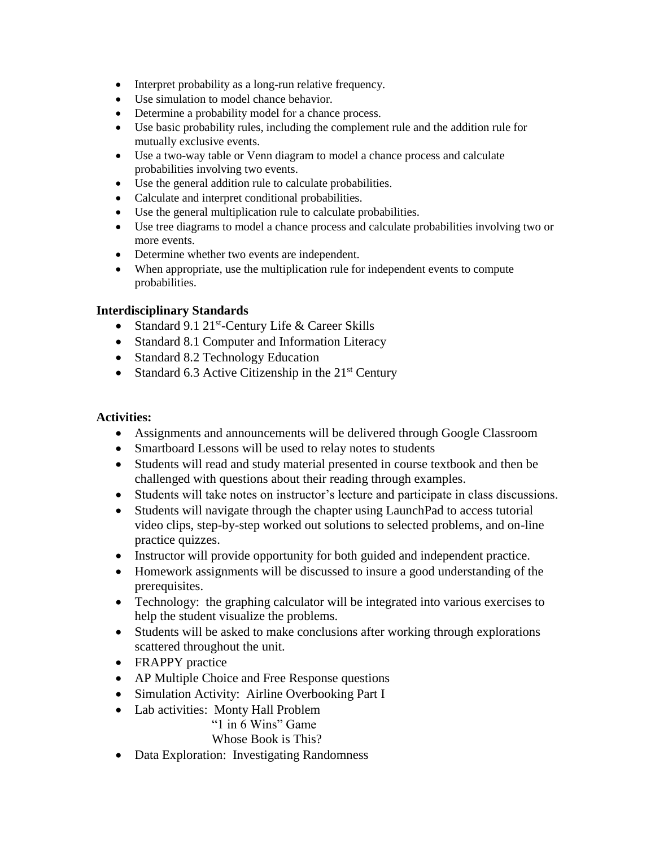- Interpret probability as a long-run relative frequency.
- Use simulation to model chance behavior.
- Determine a probability model for a chance process.
- Use basic probability rules, including the complement rule and the addition rule for mutually exclusive events.
- Use a two-way table or Venn diagram to model a chance process and calculate probabilities involving two events.
- Use the general addition rule to calculate probabilities.
- Calculate and interpret conditional probabilities.
- Use the general multiplication rule to calculate probabilities.
- Use tree diagrams to model a chance process and calculate probabilities involving two or more events.
- Determine whether two events are independent.
- When appropriate, use the multiplication rule for independent events to compute probabilities.

#### **Interdisciplinary Standards**

- Standard 9.1 21<sup>st</sup>-Century Life & Career Skills
- Standard 8.1 Computer and Information Literacy
- Standard 8.2 Technology Education
- Standard 6.3 Active Citizenship in the  $21<sup>st</sup>$  Century

### **Activities:**

- Assignments and announcements will be delivered through Google Classroom
- Smartboard Lessons will be used to relay notes to students
- Students will read and study material presented in course textbook and then be challenged with questions about their reading through examples.
- Students will take notes on instructor's lecture and participate in class discussions.
- Students will navigate through the chapter using LaunchPad to access tutorial video clips, step-by-step worked out solutions to selected problems, and on-line practice quizzes.
- Instructor will provide opportunity for both guided and independent practice.
- Homework assignments will be discussed to insure a good understanding of the prerequisites.
- Technology: the graphing calculator will be integrated into various exercises to help the student visualize the problems.
- Students will be asked to make conclusions after working through explorations scattered throughout the unit.
- FRAPPY practice
- AP Multiple Choice and Free Response questions
- Simulation Activity: Airline Overbooking Part I
- Lab activities: Monty Hall Problem

"1 in 6 Wins" Game

Whose Book is This?

• Data Exploration: Investigating Randomness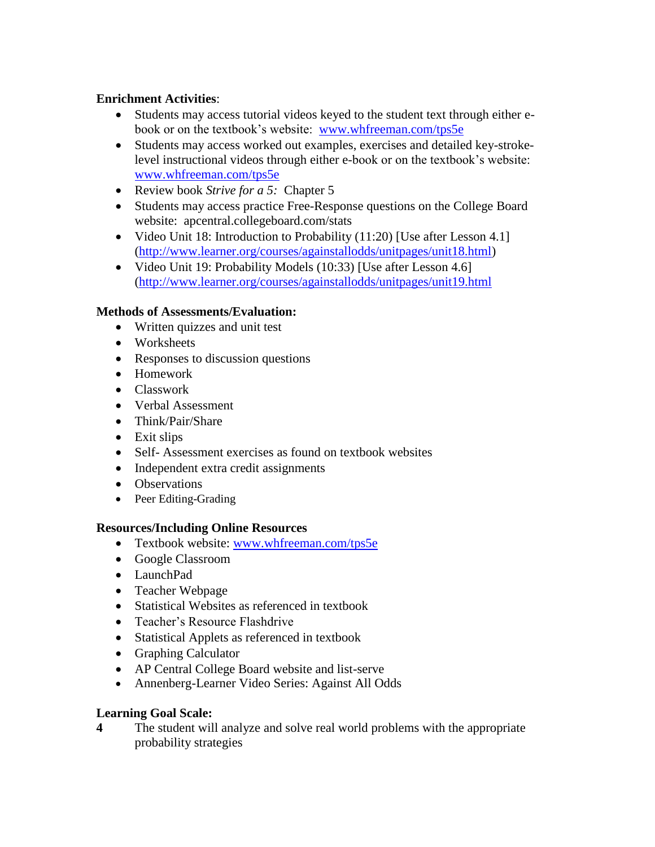## **Enrichment Activities**:

- Students may access tutorial videos keyed to the student text through either ebook or on the textbook's website: [www.whfreeman.com/tps5e](http://www.whfreeman.com/tps5e)
- Students may access worked out examples, exercises and detailed key-strokelevel instructional videos through either e-book or on the textbook's website: [www.whfreeman.com/tps5e](http://www.whfreeman.com/tps5e)
- Review book *Strive for a 5:* Chapter 5
- Students may access practice Free-Response questions on the College Board website: apcentral.collegeboard.com/stats
- Video Unit 18: Introduction to Probability  $(11:20)$  [Use after Lesson 4.1] [\(http://www.learner.org/courses/againstallodds/unitpages/unit18.html\)](http://www.learner.org/courses/againstallodds/unitpages/unit18.html)
- Video Unit 19: Probability Models (10:33) [Use after Lesson 4.6] [\(http://www.learner.org/courses/againstallodds/unitpages/unit19.html](http://www.learner.org/courses/againstallodds/unitpages/unit19.html)

#### **Methods of Assessments/Evaluation:**

- Written quizzes and unit test
- Worksheets
- Responses to discussion questions
- Homework
- Classwork
- Verbal Assessment
- Think/Pair/Share
- Exit slips
- Self- Assessment exercises as found on textbook websites
- Independent extra credit assignments
- Observations
- Peer Editing-Grading

## **Resources/Including Online Resources**

- Textbook website: [www.whfreeman.com/tps5e](http://www.whfreeman.com/tps5e)
- Google Classroom
- LaunchPad
- Teacher Webpage
- Statistical Websites as referenced in textbook
- Teacher's Resource Flashdrive
- Statistical Applets as referenced in textbook
- Graphing Calculator
- AP Central College Board website and list-serve
- Annenberg-Learner Video Series: Against All Odds

## **Learning Goal Scale:**

**4** The student will analyze and solve real world problems with the appropriate probability strategies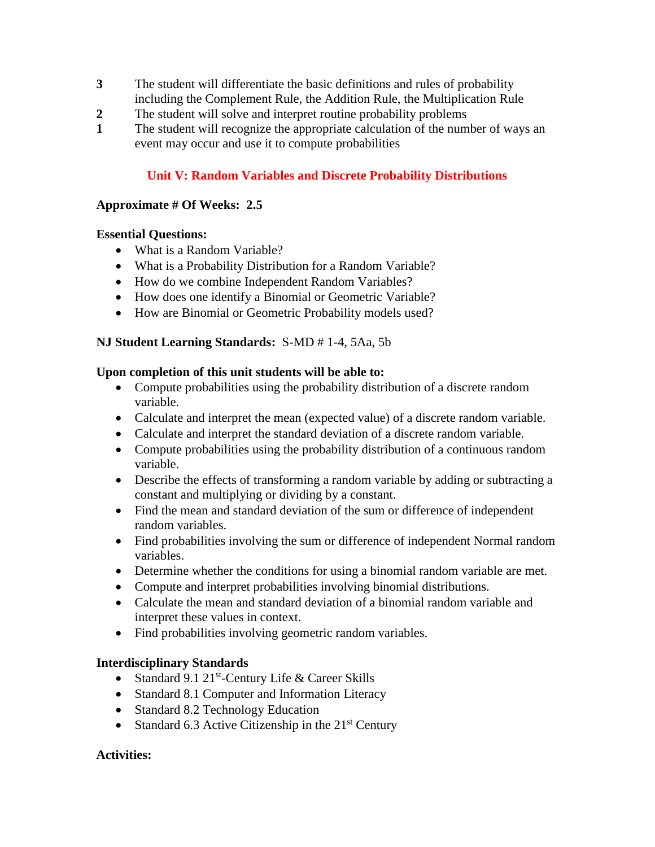- **3** The student will differentiate the basic definitions and rules of probability including the Complement Rule, the Addition Rule, the Multiplication Rule
- **2** The student will solve and interpret routine probability problems
- **1** The student will recognize the appropriate calculation of the number of ways an event may occur and use it to compute probabilities

### **Unit V: Random Variables and Discrete Probability Distributions**

#### **Approximate # Of Weeks: 2.5**

#### **Essential Questions:**

- What is a Random Variable?
- What is a Probability Distribution for a Random Variable?
- How do we combine Independent Random Variables?
- How does one identify a Binomial or Geometric Variable?
- How are Binomial or Geometric Probability models used?

#### **NJ Student Learning Standards:** S-MD # 1-4, 5Aa, 5b

#### **Upon completion of this unit students will be able to:**

- Compute probabilities using the probability distribution of a discrete random variable.
- Calculate and interpret the mean (expected value) of a discrete random variable.
- Calculate and interpret the standard deviation of a discrete random variable.
- Compute probabilities using the probability distribution of a continuous random variable.
- Describe the effects of transforming a random variable by adding or subtracting a constant and multiplying or dividing by a constant.
- Find the mean and standard deviation of the sum or difference of independent random variables.
- Find probabilities involving the sum or difference of independent Normal random variables.
- Determine whether the conditions for using a binomial random variable are met.
- Compute and interpret probabilities involving binomial distributions.
- Calculate the mean and standard deviation of a binomial random variable and interpret these values in context.
- Find probabilities involving geometric random variables.

#### **Interdisciplinary Standards**

- Standard 9.1 21<sup>st</sup>-Century Life & Career Skills
- Standard 8.1 Computer and Information Literacy
- Standard 8.2 Technology Education
- Standard 6.3 Active Citizenship in the  $21<sup>st</sup>$  Century

#### **Activities:**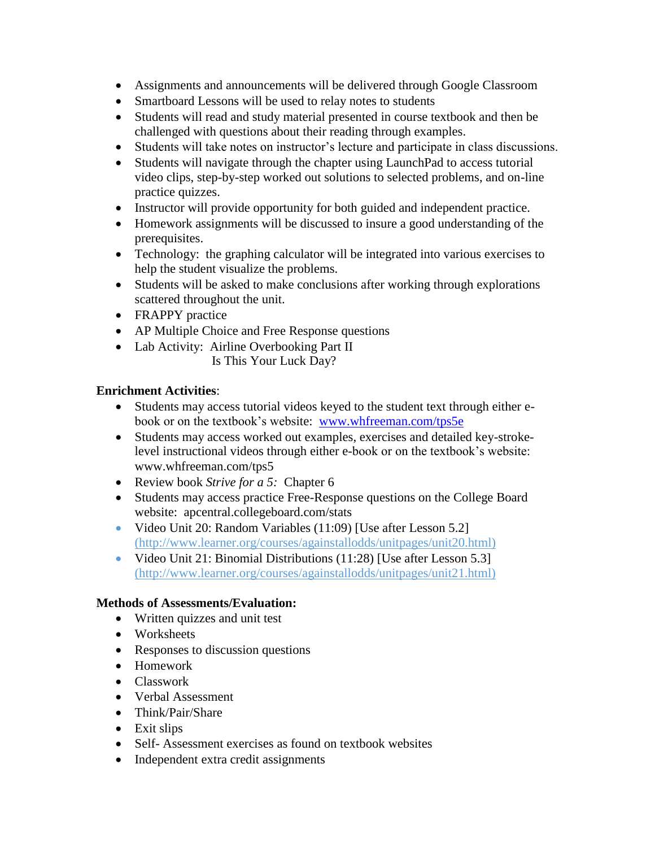- Assignments and announcements will be delivered through Google Classroom
- Smartboard Lessons will be used to relay notes to students
- Students will read and study material presented in course textbook and then be challenged with questions about their reading through examples.
- Students will take notes on instructor's lecture and participate in class discussions.
- Students will navigate through the chapter using LaunchPad to access tutorial video clips, step-by-step worked out solutions to selected problems, and on-line practice quizzes.
- Instructor will provide opportunity for both guided and independent practice.
- Homework assignments will be discussed to insure a good understanding of the prerequisites.
- Technology: the graphing calculator will be integrated into various exercises to help the student visualize the problems.
- Students will be asked to make conclusions after working through explorations scattered throughout the unit.
- FRAPPY practice
- AP Multiple Choice and Free Response questions
- Lab Activity: Airline Overbooking Part II Is This Your Luck Day?

#### **Enrichment Activities**:

- Students may access tutorial videos keyed to the student text through either ebook or on the textbook's website: [www.whfreeman.com/tps5e](http://www.whfreeman.com/tps5e)
- Students may access worked out examples, exercises and detailed key-strokelevel instructional videos through either e-book or on the textbook's website: www.whfreeman.com/tps5
- Review book *Strive for a 5:* Chapter 6
- Students may access practice Free-Response questions on the College Board website: apcentral.collegeboard.com/stats
- Video Unit 20: Random Variables (11:09) [Use after Lesson 5.2] (http://www.learner.org/courses/againstallodds/unitpages/unit20.html)
- Video Unit 21: Binomial Distributions (11:28) [Use after Lesson 5.3] (http://www.learner.org/courses/againstallodds/unitpages/unit21.html)

#### **Methods of Assessments/Evaluation:**

- Written quizzes and unit test
- Worksheets
- Responses to discussion questions
- Homework
- Classwork
- Verbal Assessment
- Think/Pair/Share
- $\bullet$  Exit slips
- Self- Assessment exercises as found on textbook websites
- Independent extra credit assignments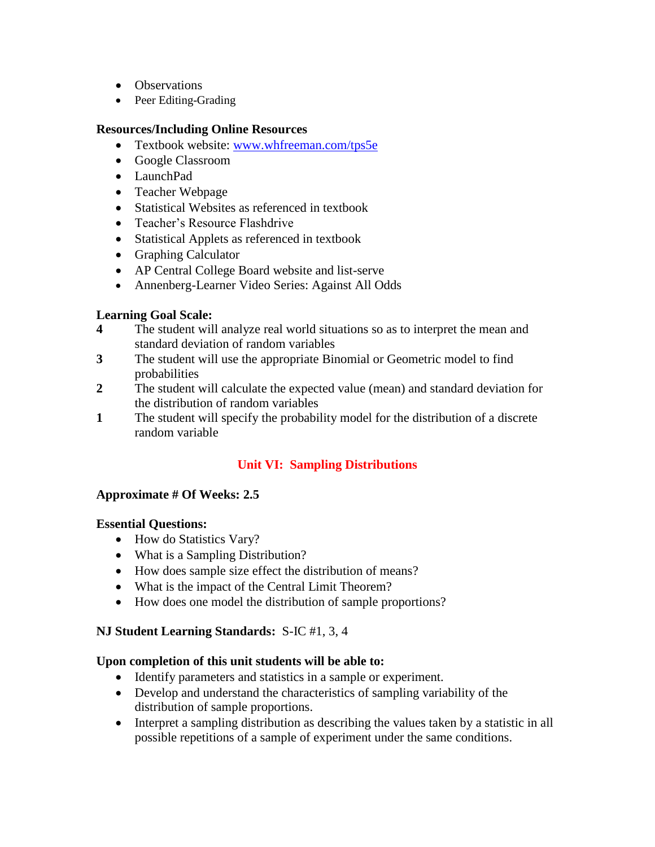- Observations
- Peer Editing-Grading

## **Resources/Including Online Resources**

- Textbook website: [www.whfreeman.com/tps5e](http://www.whfreeman.com/tps5e)
- Google Classroom
- LaunchPad
- Teacher Webpage
- Statistical Websites as referenced in textbook
- Teacher's Resource Flashdrive
- Statistical Applets as referenced in textbook
- Graphing Calculator
- AP Central College Board website and list-serve
- Annenberg-Learner Video Series: Against All Odds

## **Learning Goal Scale:**

- **4** The student will analyze real world situations so as to interpret the mean and standard deviation of random variables
- **3** The student will use the appropriate Binomial or Geometric model to find probabilities
- **2** The student will calculate the expected value (mean) and standard deviation for the distribution of random variables
- **1** The student will specify the probability model for the distribution of a discrete random variable

## **Unit VI: Sampling Distributions**

## **Approximate # Of Weeks: 2.5**

## **Essential Questions:**

- How do Statistics Vary?
- What is a Sampling Distribution?
- How does sample size effect the distribution of means?
- What is the impact of the Central Limit Theorem?
- How does one model the distribution of sample proportions?

## **NJ Student Learning Standards:** S-IC #1, 3, 4

## **Upon completion of this unit students will be able to:**

- Identify parameters and statistics in a sample or experiment.
- Develop and understand the characteristics of sampling variability of the distribution of sample proportions.
- Interpret a sampling distribution as describing the values taken by a statistic in all possible repetitions of a sample of experiment under the same conditions.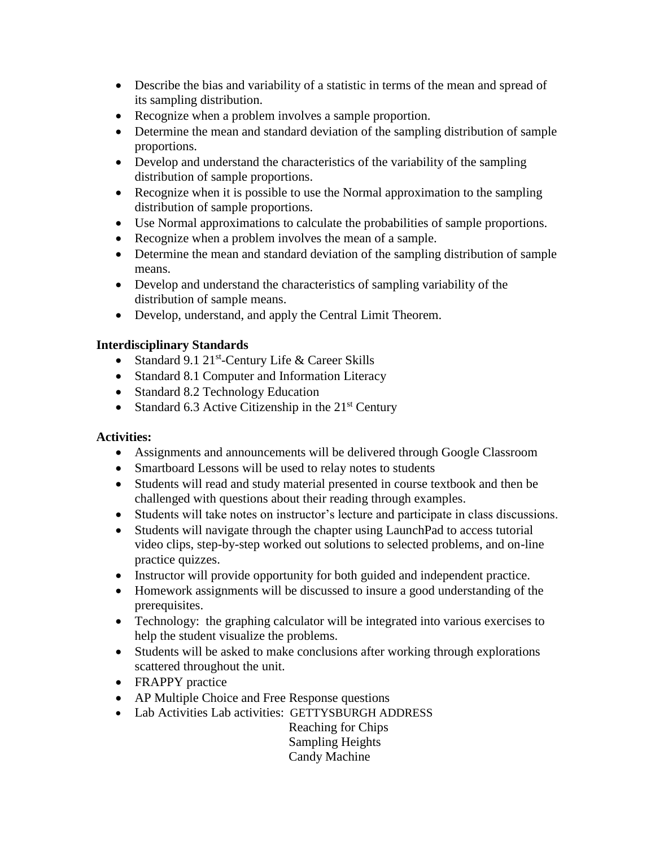- Describe the bias and variability of a statistic in terms of the mean and spread of its sampling distribution.
- Recognize when a problem involves a sample proportion.
- Determine the mean and standard deviation of the sampling distribution of sample proportions.
- Develop and understand the characteristics of the variability of the sampling distribution of sample proportions.
- Recognize when it is possible to use the Normal approximation to the sampling distribution of sample proportions.
- Use Normal approximations to calculate the probabilities of sample proportions.
- Recognize when a problem involves the mean of a sample.
- Determine the mean and standard deviation of the sampling distribution of sample means.
- Develop and understand the characteristics of sampling variability of the distribution of sample means.
- Develop, understand, and apply the Central Limit Theorem.

## **Interdisciplinary Standards**

- Standard 9.1 21<sup>st</sup>-Century Life & Career Skills
- Standard 8.1 Computer and Information Literacy
- Standard 8.2 Technology Education
- Standard 6.3 Active Citizenship in the  $21<sup>st</sup>$  Century

## **Activities:**

- Assignments and announcements will be delivered through Google Classroom
- Smartboard Lessons will be used to relay notes to students
- Students will read and study material presented in course textbook and then be challenged with questions about their reading through examples.
- Students will take notes on instructor's lecture and participate in class discussions.
- Students will navigate through the chapter using LaunchPad to access tutorial video clips, step-by-step worked out solutions to selected problems, and on-line practice quizzes.
- Instructor will provide opportunity for both guided and independent practice.
- Homework assignments will be discussed to insure a good understanding of the prerequisites.
- Technology: the graphing calculator will be integrated into various exercises to help the student visualize the problems.
- Students will be asked to make conclusions after working through explorations scattered throughout the unit.
- FRAPPY practice
- AP Multiple Choice and Free Response questions
- Lab Activities Lab activities: GETTYSBURGH ADDRESS

Reaching for Chips Sampling Heights Candy Machine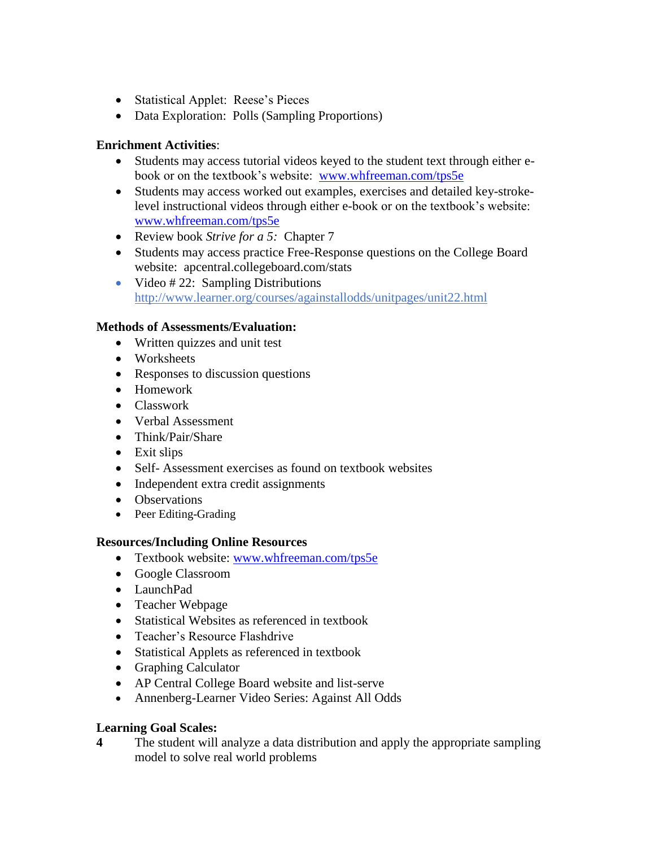- Statistical Applet: Reese's Pieces
- Data Exploration: Polls (Sampling Proportions)

## **Enrichment Activities**:

- Students may access tutorial videos keyed to the student text through either ebook or on the textbook's website: [www.whfreeman.com/tps5e](http://www.whfreeman.com/tps5e)
- Students may access worked out examples, exercises and detailed key-strokelevel instructional videos through either e-book or on the textbook's website: [www.whfreeman.com/tps5e](http://www.whfreeman.com/tps5e)
- Review book *Strive for a 5:* Chapter 7
- Students may access practice Free-Response questions on the College Board website: apcentral.collegeboard.com/stats
- Video  $\#$  22: Sampling Distributions http://www.learner.org/courses/againstallodds/unitpages/unit22.html

## **Methods of Assessments/Evaluation:**

- Written quizzes and unit test
- Worksheets
- Responses to discussion questions
- Homework
- Classwork
- Verbal Assessment
- Think/Pair/Share
- Exit slips
- Self- Assessment exercises as found on textbook websites
- Independent extra credit assignments
- Observations
- Peer Editing-Grading

## **Resources/Including Online Resources**

- Textbook website: [www.whfreeman.com/tps5e](http://www.whfreeman.com/tps5e)
- Google Classroom
- LaunchPad
- Teacher Webpage
- Statistical Websites as referenced in textbook
- Teacher's Resource Flashdrive
- Statistical Applets as referenced in textbook
- Graphing Calculator
- AP Central College Board website and list-serve
- Annenberg-Learner Video Series: Against All Odds

## **Learning Goal Scales:**

**4** The student will analyze a data distribution and apply the appropriate sampling model to solve real world problems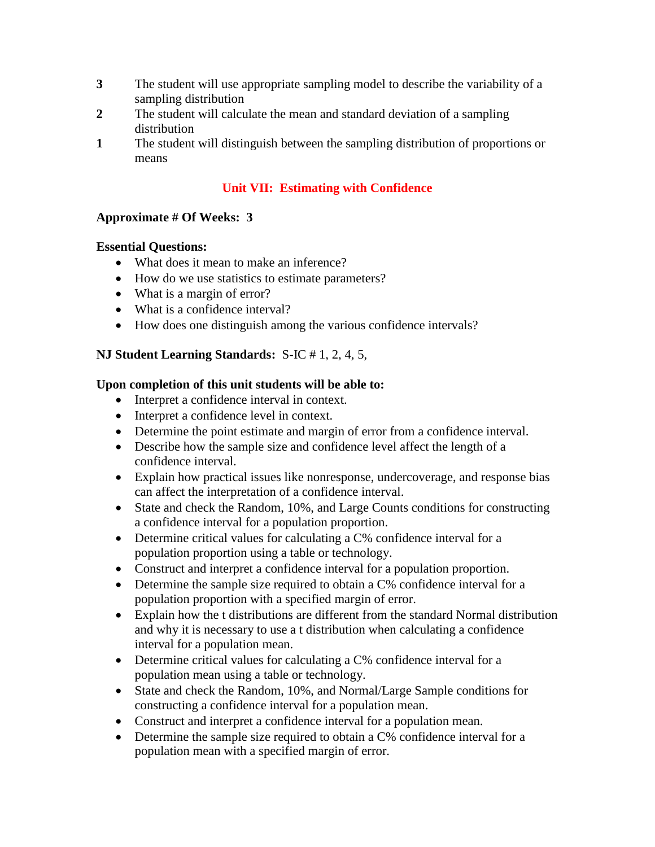- **3** The student will use appropriate sampling model to describe the variability of a sampling distribution
- **2** The student will calculate the mean and standard deviation of a sampling distribution
- **1** The student will distinguish between the sampling distribution of proportions or means

## **Unit VII: Estimating with Confidence**

## **Approximate # Of Weeks: 3**

#### **Essential Questions:**

- What does it mean to make an inference?
- How do we use statistics to estimate parameters?
- What is a margin of error?
- What is a confidence interval?
- How does one distinguish among the various confidence intervals?

## **NJ Student Learning Standards:** S-IC # 1, 2, 4, 5,

#### **Upon completion of this unit students will be able to:**

- Interpret a confidence interval in context.
- Interpret a confidence level in context.
- Determine the point estimate and margin of error from a confidence interval.
- Describe how the sample size and confidence level affect the length of a confidence interval.
- Explain how practical issues like nonresponse, undercoverage, and response bias can affect the interpretation of a confidence interval.
- State and check the Random, 10%, and Large Counts conditions for constructing a confidence interval for a population proportion.
- Determine critical values for calculating a C% confidence interval for a population proportion using a table or technology.
- Construct and interpret a confidence interval for a population proportion.
- Determine the sample size required to obtain a C% confidence interval for a population proportion with a specified margin of error.
- Explain how the t distributions are different from the standard Normal distribution and why it is necessary to use a t distribution when calculating a confidence interval for a population mean.
- $\bullet$  Determine critical values for calculating a C% confidence interval for a population mean using a table or technology.
- State and check the Random, 10%, and Normal/Large Sample conditions for constructing a confidence interval for a population mean.
- Construct and interpret a confidence interval for a population mean.
- Determine the sample size required to obtain a C% confidence interval for a population mean with a specified margin of error.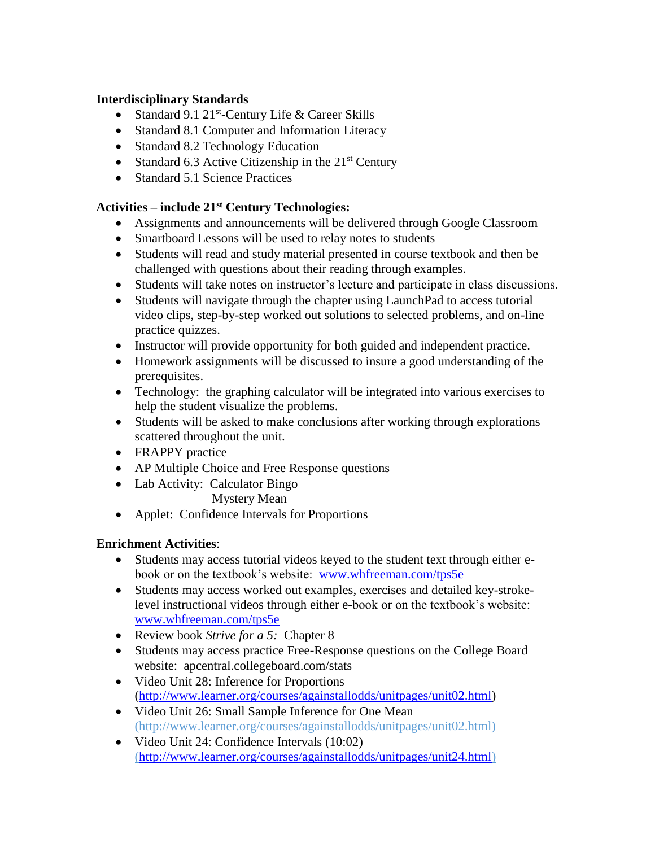## **Interdisciplinary Standards**

- Standard 9.1 21<sup>st</sup>-Century Life & Career Skills
- Standard 8.1 Computer and Information Literacy
- Standard 8.2 Technology Education
- Standard 6.3 Active Citizenship in the  $21<sup>st</sup>$  Century
- Standard 5.1 Science Practices

## **Activities – include 21st Century Technologies:**

- Assignments and announcements will be delivered through Google Classroom
- Smartboard Lessons will be used to relay notes to students
- Students will read and study material presented in course textbook and then be challenged with questions about their reading through examples.
- Students will take notes on instructor's lecture and participate in class discussions.
- Students will navigate through the chapter using LaunchPad to access tutorial video clips, step-by-step worked out solutions to selected problems, and on-line practice quizzes.
- Instructor will provide opportunity for both guided and independent practice.
- Homework assignments will be discussed to insure a good understanding of the prerequisites.
- Technology: the graphing calculator will be integrated into various exercises to help the student visualize the problems.
- Students will be asked to make conclusions after working through explorations scattered throughout the unit.
- FRAPPY practice
- AP Multiple Choice and Free Response questions
- Lab Activity: Calculator Bingo Mystery Mean
- Applet: Confidence Intervals for Proportions

## **Enrichment Activities**:

- Students may access tutorial videos keyed to the student text through either ebook or on the textbook's website: [www.whfreeman.com/tps5e](http://www.whfreeman.com/tps5e)
- Students may access worked out examples, exercises and detailed key-strokelevel instructional videos through either e-book or on the textbook's website: [www.whfreeman.com/tps5e](http://www.whfreeman.com/tps5e)
- Review book *Strive for a 5:* Chapter 8
- Students may access practice Free-Response questions on the College Board website: apcentral.collegeboard.com/stats
- Video Unit 28: Inference for Proportions [\(http://www.learner.org/courses/againstallodds/unitpages/unit02.html\)](http://www.learner.org/courses/againstallodds/unitpages/unit02.html)
- Video Unit 26: Small Sample Inference for One Mean (http://www.learner.org/courses/againstallodds/unitpages/unit02.html)
- Video Unit 24: Confidence Intervals (10:02) [\(http://www.learner.org/courses/againstallodds/unitpages/unit24.html\)](http://www.learner.org/courses/againstallodds/unitpages/unit24.html)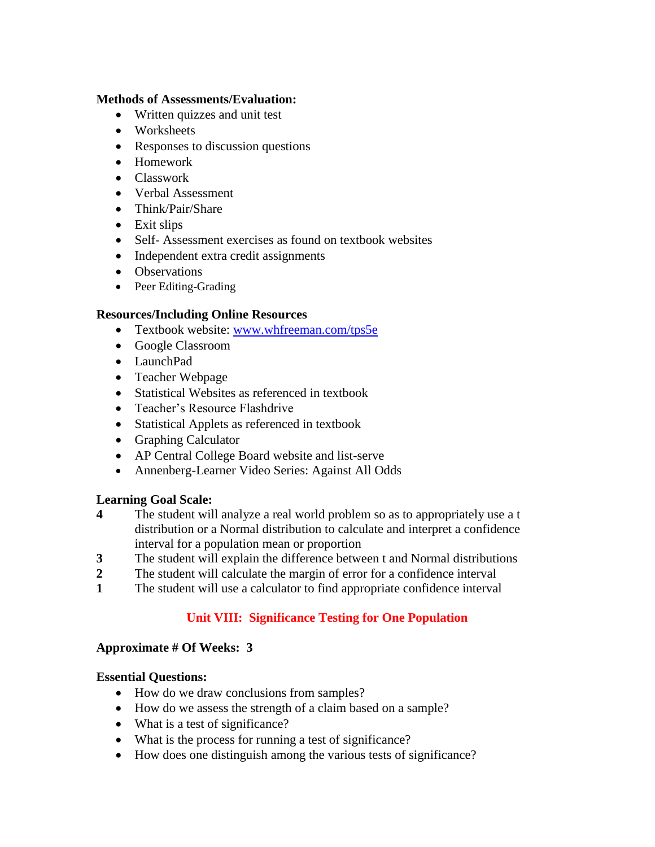#### **Methods of Assessments/Evaluation:**

- Written quizzes and unit test
- Worksheets
- Responses to discussion questions
- Homework
- Classwork
- Verbal Assessment
- Think/Pair/Share
- Exit slips
- Self- Assessment exercises as found on textbook websites
- Independent extra credit assignments
- Observations
- Peer Editing-Grading

## **Resources/Including Online Resources**

- Textbook website: [www.whfreeman.com/tps5e](http://www.whfreeman.com/tps5e)
- Google Classroom
- LaunchPad
- Teacher Webpage
- Statistical Websites as referenced in textbook
- Teacher's Resource Flashdrive
- Statistical Applets as referenced in textbook
- Graphing Calculator
- AP Central College Board website and list-serve
- Annenberg-Learner Video Series: Against All Odds

## **Learning Goal Scale:**

- **4** The student will analyze a real world problem so as to appropriately use a t distribution or a Normal distribution to calculate and interpret a confidence interval for a population mean or proportion
- **3** The student will explain the difference between t and Normal distributions
- **2** The student will calculate the margin of error for a confidence interval
- **1** The student will use a calculator to find appropriate confidence interval

## **Unit VIII: Significance Testing for One Population**

## **Approximate # Of Weeks: 3**

## **Essential Questions:**

- How do we draw conclusions from samples?
- How do we assess the strength of a claim based on a sample?
- What is a test of significance?
- What is the process for running a test of significance?
- How does one distinguish among the various tests of significance?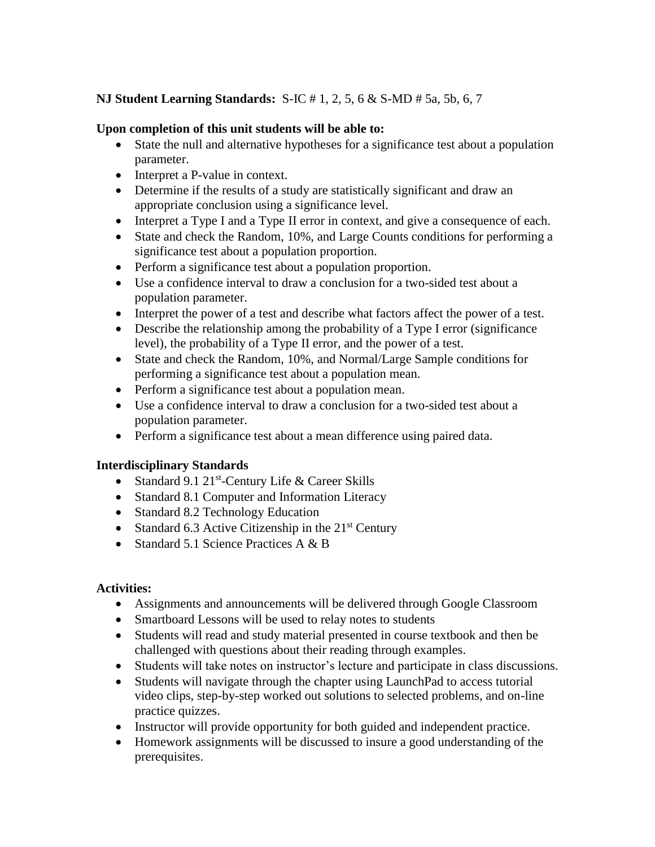## **NJ Student Learning Standards:** S-IC # 1, 2, 5, 6 & S-MD # 5a, 5b, 6, 7

## **Upon completion of this unit students will be able to:**

- State the null and alternative hypotheses for a significance test about a population parameter.
- Interpret a P-value in context.
- Determine if the results of a study are statistically significant and draw an appropriate conclusion using a significance level.
- Interpret a Type I and a Type II error in context, and give a consequence of each.
- State and check the Random, 10%, and Large Counts conditions for performing a significance test about a population proportion.
- Perform a significance test about a population proportion.
- Use a confidence interval to draw a conclusion for a two-sided test about a population parameter.
- Interpret the power of a test and describe what factors affect the power of a test.
- Describe the relationship among the probability of a Type I error (significance level), the probability of a Type II error, and the power of a test.
- State and check the Random, 10%, and Normal/Large Sample conditions for performing a significance test about a population mean.
- Perform a significance test about a population mean.
- Use a confidence interval to draw a conclusion for a two-sided test about a population parameter.
- Perform a significance test about a mean difference using paired data.

## **Interdisciplinary Standards**

- Standard 9.1 21<sup>st</sup>-Century Life & Career Skills
- Standard 8.1 Computer and Information Literacy
- Standard 8.2 Technology Education
- Standard 6.3 Active Citizenship in the  $21<sup>st</sup>$  Century
- Standard 5.1 Science Practices A  $\&$  B

## **Activities:**

- Assignments and announcements will be delivered through Google Classroom
- Smartboard Lessons will be used to relay notes to students
- Students will read and study material presented in course textbook and then be challenged with questions about their reading through examples.
- Students will take notes on instructor's lecture and participate in class discussions.
- Students will navigate through the chapter using LaunchPad to access tutorial video clips, step-by-step worked out solutions to selected problems, and on-line practice quizzes.
- Instructor will provide opportunity for both guided and independent practice.
- Homework assignments will be discussed to insure a good understanding of the prerequisites.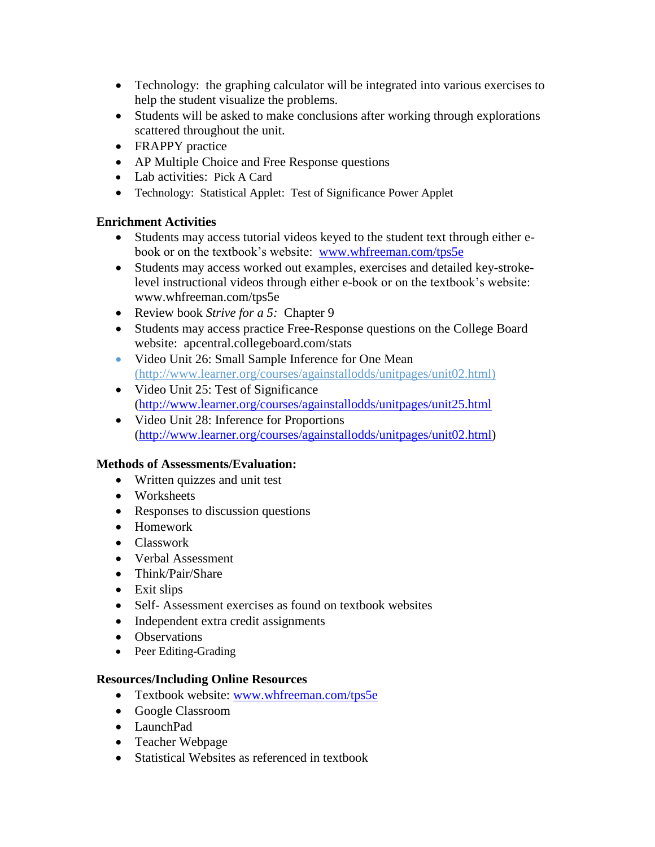- Technology: the graphing calculator will be integrated into various exercises to help the student visualize the problems.
- Students will be asked to make conclusions after working through explorations scattered throughout the unit.
- FRAPPY practice
- AP Multiple Choice and Free Response questions
- Lab activities: Pick A Card
- Technology: Statistical Applet: Test of Significance Power Applet

## **Enrichment Activities**

- Students may access tutorial videos keyed to the student text through either ebook or on the textbook's website: [www.whfreeman.com/tps5e](http://www.whfreeman.com/tps5e)
- Students may access worked out examples, exercises and detailed key-strokelevel instructional videos through either e-book or on the textbook's website: www.whfreeman.com/tps5e
- Review book *Strive for a 5:* Chapter 9
- Students may access practice Free-Response questions on the College Board website: apcentral.collegeboard.com/stats
- Video Unit 26: Small Sample Inference for One Mean (http://www.learner.org/courses/againstallodds/unitpages/unit02.html)
- Video Unit 25: Test of Significance [\(http://www.learner.org/courses/againstallodds/unitpages/unit25.html](http://www.learner.org/courses/againstallodds/unitpages/unit25.html)
- Video Unit 28: Inference for Proportions [\(http://www.learner.org/courses/againstallodds/unitpages/unit02.html\)](http://www.learner.org/courses/againstallodds/unitpages/unit02.html)

## **Methods of Assessments/Evaluation:**

- Written quizzes and unit test
- Worksheets
- Responses to discussion questions
- Homework
- Classwork
- Verbal Assessment
- Think/Pair/Share
- Exit slips
- Self- Assessment exercises as found on textbook websites
- Independent extra credit assignments
- Observations
- Peer Editing-Grading

## **Resources/Including Online Resources**

- Textbook website: [www.whfreeman.com/tps5e](http://www.whfreeman.com/tps5e)
- Google Classroom
- LaunchPad
- Teacher Webpage
- Statistical Websites as referenced in textbook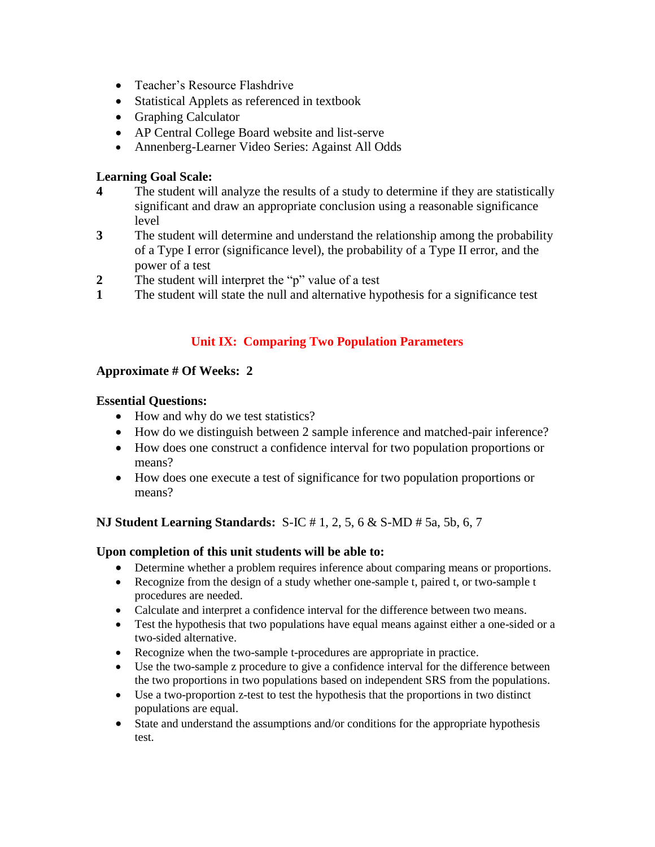- Teacher's Resource Flashdrive
- Statistical Applets as referenced in textbook
- Graphing Calculator
- AP Central College Board website and list-serve
- Annenberg-Learner Video Series: Against All Odds

## **Learning Goal Scale:**

- **4** The student will analyze the results of a study to determine if they are statistically significant and draw an appropriate conclusion using a reasonable significance level
- **3** The student will determine and understand the relationship among the probability of a Type I error (significance level), the probability of a Type II error, and the power of a test
- **2** The student will interpret the "p" value of a test
- **1** The student will state the null and alternative hypothesis for a significance test

## **Unit IX: Comparing Two Population Parameters**

## **Approximate # Of Weeks: 2**

## **Essential Questions:**

- How and why do we test statistics?
- How do we distinguish between 2 sample inference and matched-pair inference?
- How does one construct a confidence interval for two population proportions or means?
- How does one execute a test of significance for two population proportions or means?

## **NJ Student Learning Standards:** S-IC # 1, 2, 5, 6 & S-MD # 5a, 5b, 6, 7

## **Upon completion of this unit students will be able to:**

- Determine whether a problem requires inference about comparing means or proportions.
- Recognize from the design of a study whether one-sample t, paired t, or two-sample t procedures are needed.
- Calculate and interpret a confidence interval for the difference between two means.
- Test the hypothesis that two populations have equal means against either a one-sided or a two-sided alternative.
- Recognize when the two-sample t-procedures are appropriate in practice.
- Use the two-sample z procedure to give a confidence interval for the difference between the two proportions in two populations based on independent SRS from the populations.
- Use a two-proportion z-test to test the hypothesis that the proportions in two distinct populations are equal.
- State and understand the assumptions and/or conditions for the appropriate hypothesis test.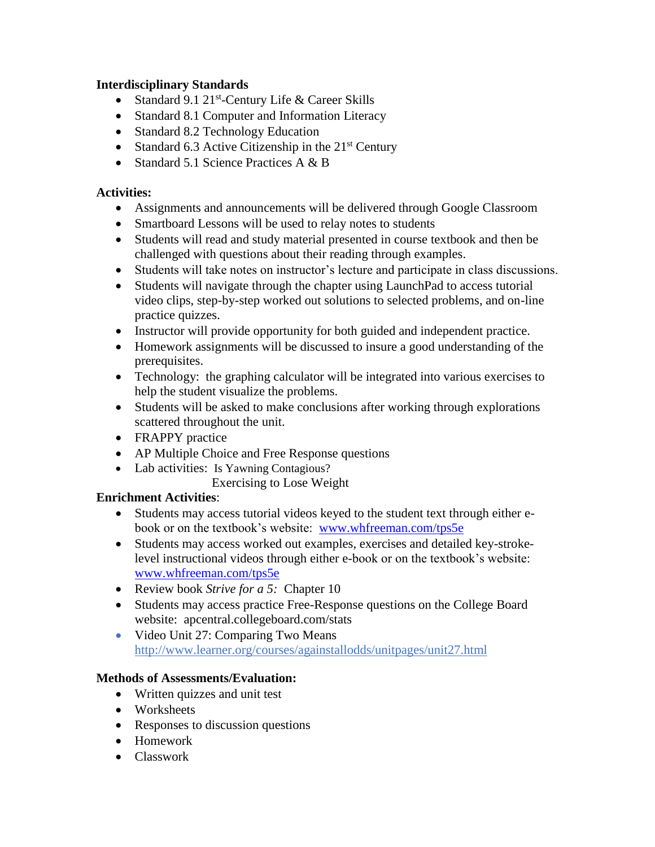## **Interdisciplinary Standards**

- Standard 9.1 21<sup>st</sup>-Century Life & Career Skills
- Standard 8.1 Computer and Information Literacy
- Standard 8.2 Technology Education
- Standard 6.3 Active Citizenship in the  $21<sup>st</sup>$  Century
- Standard 5.1 Science Practices A & B

## **Activities:**

- Assignments and announcements will be delivered through Google Classroom
- Smartboard Lessons will be used to relay notes to students
- Students will read and study material presented in course textbook and then be challenged with questions about their reading through examples.
- Students will take notes on instructor's lecture and participate in class discussions.
- Students will navigate through the chapter using LaunchPad to access tutorial video clips, step-by-step worked out solutions to selected problems, and on-line practice quizzes.
- Instructor will provide opportunity for both guided and independent practice.
- Homework assignments will be discussed to insure a good understanding of the prerequisites.
- Technology: the graphing calculator will be integrated into various exercises to help the student visualize the problems.
- Students will be asked to make conclusions after working through explorations scattered throughout the unit.
- FRAPPY practice
- AP Multiple Choice and Free Response questions
- Lab activities: Is Yawning Contagious?

## Exercising to Lose Weight

## **Enrichment Activities**:

- Students may access tutorial videos keyed to the student text through either ebook or on the textbook's website: [www.whfreeman.com/tps5e](http://www.whfreeman.com/tps5e)
- Students may access worked out examples, exercises and detailed key-strokelevel instructional videos through either e-book or on the textbook's website: [www.whfreeman.com/tps5e](http://www.whfreeman.com/tps5e)
- Review book *Strive for a 5:* Chapter 10
- Students may access practice Free-Response questions on the College Board website: apcentral.collegeboard.com/stats
- Video Unit 27: Comparing Two Means http://www.learner.org/courses/againstallodds/unitpages/unit27.html

## **Methods of Assessments/Evaluation:**

- Written quizzes and unit test
- Worksheets
- Responses to discussion questions
- Homework
- Classwork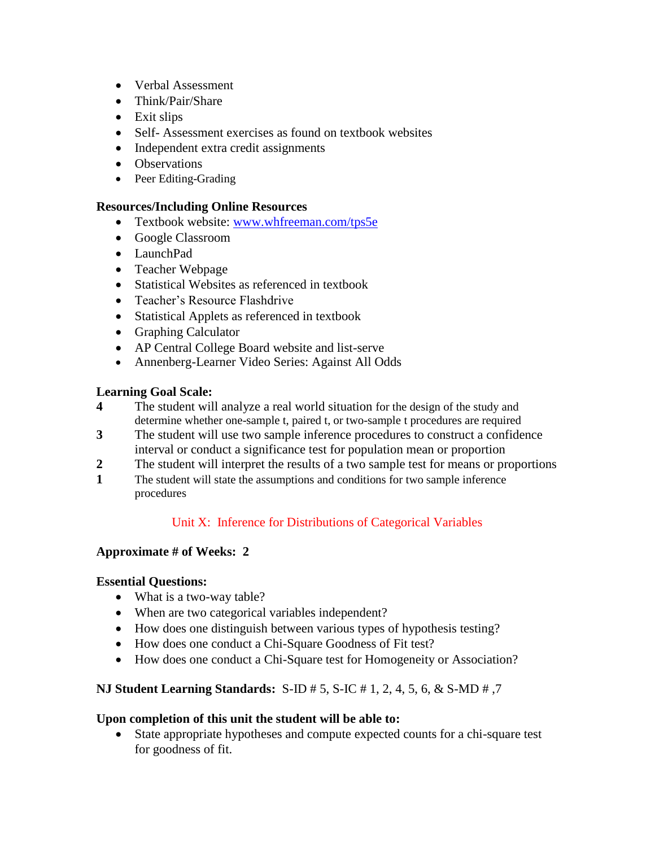- Verbal Assessment
- Think/Pair/Share
- Exit slips
- Self- Assessment exercises as found on textbook websites
- Independent extra credit assignments
- Observations
- Peer Editing-Grading

#### **Resources/Including Online Resources**

- Textbook website: [www.whfreeman.com/tps5e](http://www.whfreeman.com/tps5e)
- Google Classroom
- LaunchPad
- Teacher Webpage
- Statistical Websites as referenced in textbook
- Teacher's Resource Flashdrive
- Statistical Applets as referenced in textbook
- Graphing Calculator
- AP Central College Board website and list-serve
- Annenberg-Learner Video Series: Against All Odds

#### **Learning Goal Scale:**

- **4** The student will analyze a real world situation for the design of the study and determine whether one-sample t, paired t, or two-sample t procedures are required
- **3** The student will use two sample inference procedures to construct a confidence interval or conduct a significance test for population mean or proportion
- **2** The student will interpret the results of a two sample test for means or proportions
- **1** The student will state the assumptions and conditions for two sample inference procedures

## Unit X: Inference for Distributions of Categorical Variables

#### **Approximate # of Weeks: 2**

#### **Essential Questions:**

- What is a two-way table?
- When are two categorical variables independent?
- How does one distinguish between various types of hypothesis testing?
- How does one conduct a Chi-Square Goodness of Fit test?
- How does one conduct a Chi-Square test for Homogeneity or Association?

#### **NJ Student Learning Standards:** S-ID # 5, S-IC # 1, 2, 4, 5, 6, & S-MD # ,7

#### **Upon completion of this unit the student will be able to:**

 State appropriate hypotheses and compute expected counts for a chi-square test for goodness of fit.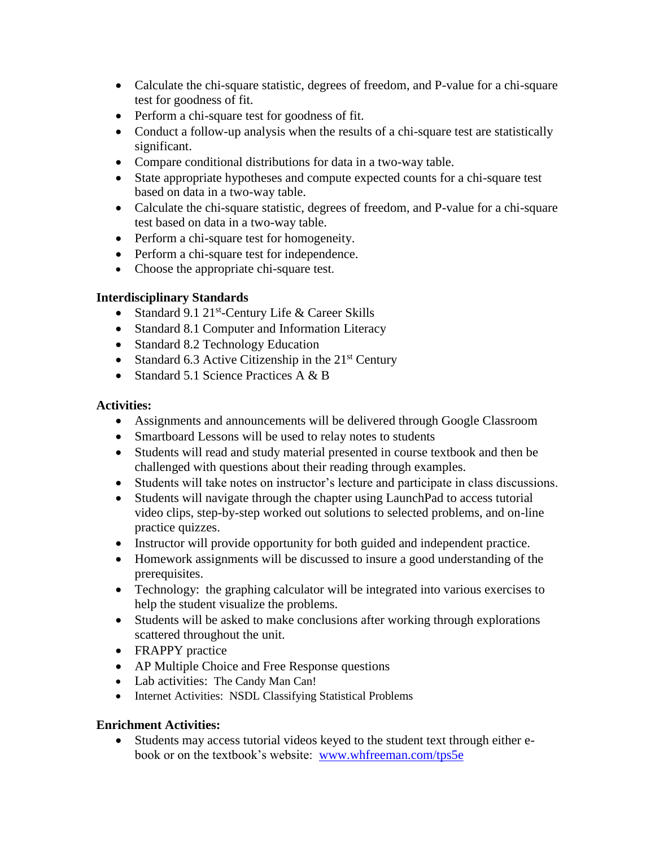- Calculate the chi-square statistic, degrees of freedom, and P-value for a chi-square test for goodness of fit.
- Perform a chi-square test for goodness of fit.
- Conduct a follow-up analysis when the results of a chi-square test are statistically significant.
- Compare conditional distributions for data in a two-way table.
- State appropriate hypotheses and compute expected counts for a chi-square test based on data in a two-way table.
- Calculate the chi-square statistic, degrees of freedom, and P-value for a chi-square test based on data in a two-way table.
- Perform a chi-square test for homogeneity.
- Perform a chi-square test for independence.
- Choose the appropriate chi-square test.

## **Interdisciplinary Standards**

- Standard 9.1 21<sup>st</sup>-Century Life & Career Skills
- Standard 8.1 Computer and Information Literacy
- Standard 8.2 Technology Education
- Standard 6.3 Active Citizenship in the  $21<sup>st</sup>$  Century
- Standard 5.1 Science Practices A & B

## **Activities:**

- Assignments and announcements will be delivered through Google Classroom
- Smartboard Lessons will be used to relay notes to students
- Students will read and study material presented in course textbook and then be challenged with questions about their reading through examples.
- Students will take notes on instructor's lecture and participate in class discussions.
- Students will navigate through the chapter using LaunchPad to access tutorial video clips, step-by-step worked out solutions to selected problems, and on-line practice quizzes.
- Instructor will provide opportunity for both guided and independent practice.
- Homework assignments will be discussed to insure a good understanding of the prerequisites.
- Technology: the graphing calculator will be integrated into various exercises to help the student visualize the problems.
- Students will be asked to make conclusions after working through explorations scattered throughout the unit.
- FRAPPY practice
- AP Multiple Choice and Free Response questions
- Lab activities: The Candy Man Can!
- Internet Activities: NSDL Classifying Statistical Problems

## **Enrichment Activities:**

 Students may access tutorial videos keyed to the student text through either ebook or on the textbook's website: [www.whfreeman.com/tps5e](http://www.whfreeman.com/tps5e)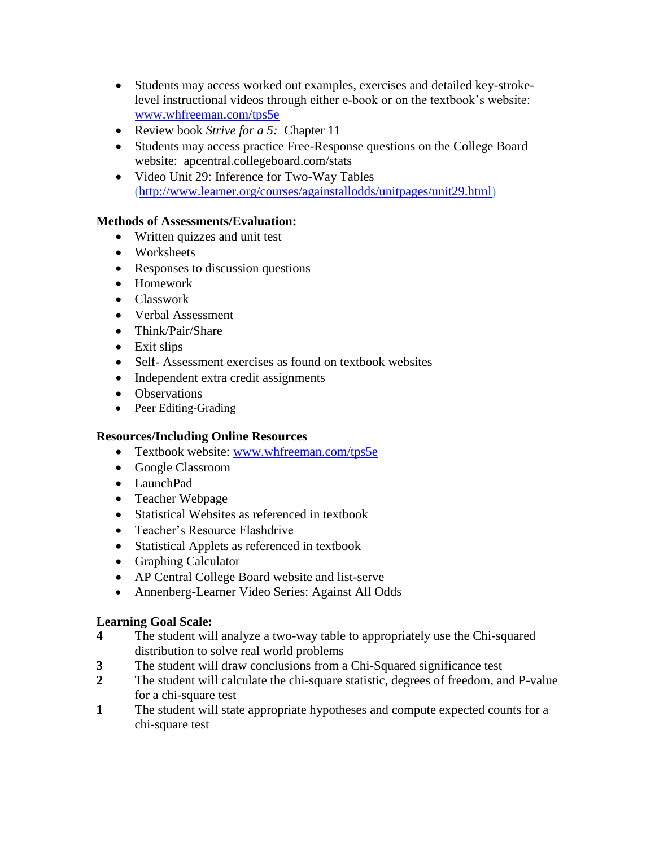- Students may access worked out examples, exercises and detailed key-strokelevel instructional videos through either e-book or on the textbook's website: [www.whfreeman.com/tps5e](http://www.whfreeman.com/tps5e)
- Review book *Strive for a 5:* Chapter 11
- Students may access practice Free-Response questions on the College Board website: apcentral.collegeboard.com/stats
- Video Unit 29: Inference for Two-Way Tables [\(http://www.learner.org/courses/againstallodds/unitpages/unit29.html\)](http://www.learner.org/courses/againstallodds/unitpages/unit29.html)

## **Methods of Assessments/Evaluation:**

- Written quizzes and unit test
- Worksheets
- Responses to discussion questions
- Homework
- Classwork
- Verbal Assessment
- Think/Pair/Share
- Exit slips
- Self- Assessment exercises as found on textbook websites
- Independent extra credit assignments
- Observations
- Peer Editing-Grading

## **Resources/Including Online Resources**

- Textbook website: [www.whfreeman.com/tps5e](http://www.whfreeman.com/tps5e)
- Google Classroom
- LaunchPad
- Teacher Webpage
- Statistical Websites as referenced in textbook
- Teacher's Resource Flashdrive
- Statistical Applets as referenced in textbook
- Graphing Calculator
- AP Central College Board website and list-serve
- Annenberg-Learner Video Series: Against All Odds

## **Learning Goal Scale:**

- **4** The student will analyze a two-way table to appropriately use the Chi-squared distribution to solve real world problems
- **3** The student will draw conclusions from a Chi-Squared significance test
- **2** The student will calculate the chi-square statistic, degrees of freedom, and P-value for a chi-square test
- **1** The student will state appropriate hypotheses and compute expected counts for a chi-square test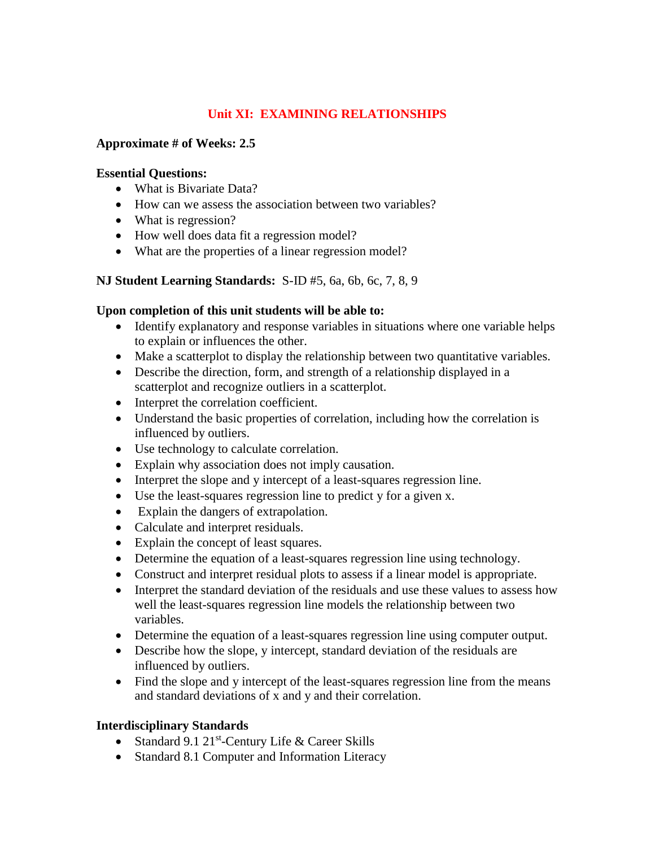## **Unit XI: EXAMINING RELATIONSHIPS**

### **Approximate # of Weeks: 2.5**

#### **Essential Questions:**

- What is Bivariate Data?
- How can we assess the association between two variables?
- What is regression?
- How well does data fit a regression model?
- What are the properties of a linear regression model?

#### **NJ Student Learning Standards:** S-ID #5, 6a, 6b, 6c, 7, 8, 9

#### **Upon completion of this unit students will be able to:**

- Identify explanatory and response variables in situations where one variable helps to explain or influences the other.
- Make a scatterplot to display the relationship between two quantitative variables.
- Describe the direction, form, and strength of a relationship displayed in a scatterplot and recognize outliers in a scatterplot.
- Interpret the correlation coefficient.
- Understand the basic properties of correlation, including how the correlation is influenced by outliers.
- Use technology to calculate correlation.
- Explain why association does not imply causation.
- Interpret the slope and y intercept of a least-squares regression line.
- Use the least-squares regression line to predict y for a given x.
- Explain the dangers of extrapolation.
- Calculate and interpret residuals.
- Explain the concept of least squares.
- Determine the equation of a least-squares regression line using technology.
- Construct and interpret residual plots to assess if a linear model is appropriate.
- Interpret the standard deviation of the residuals and use these values to assess how well the least-squares regression line models the relationship between two variables.
- Determine the equation of a least-squares regression line using computer output.
- Describe how the slope, y intercept, standard deviation of the residuals are influenced by outliers.
- Find the slope and y intercept of the least-squares regression line from the means and standard deviations of x and y and their correlation.

#### **Interdisciplinary Standards**

- Standard 9.1 21<sup>st</sup>-Century Life & Career Skills
- Standard 8.1 Computer and Information Literacy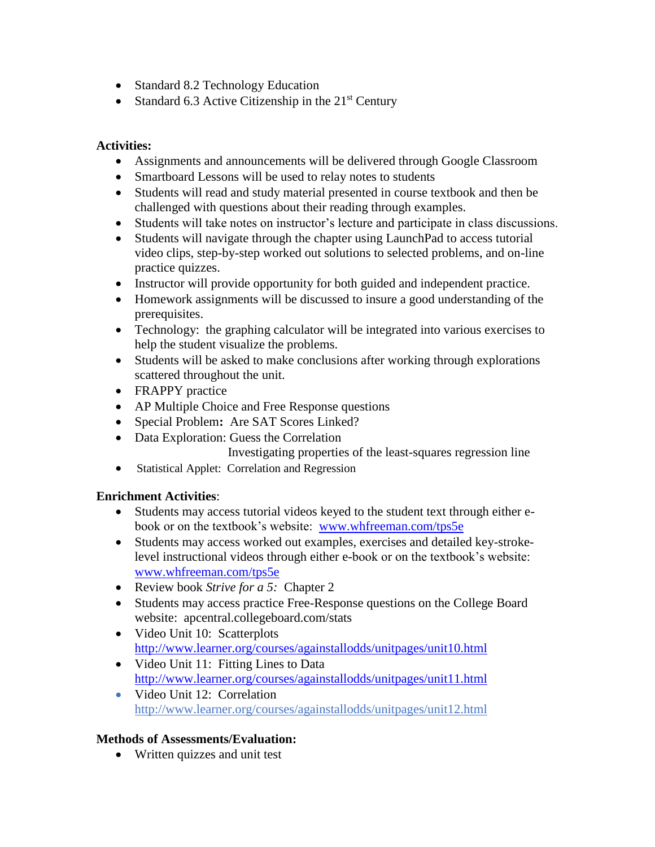- Standard 8.2 Technology Education
- Standard 6.3 Active Citizenship in the  $21<sup>st</sup>$  Century

## **Activities:**

- Assignments and announcements will be delivered through Google Classroom
- Smartboard Lessons will be used to relay notes to students
- Students will read and study material presented in course textbook and then be challenged with questions about their reading through examples.
- Students will take notes on instructor's lecture and participate in class discussions.
- Students will navigate through the chapter using LaunchPad to access tutorial video clips, step-by-step worked out solutions to selected problems, and on-line practice quizzes.
- Instructor will provide opportunity for both guided and independent practice.
- Homework assignments will be discussed to insure a good understanding of the prerequisites.
- Technology: the graphing calculator will be integrated into various exercises to help the student visualize the problems.
- Students will be asked to make conclusions after working through explorations scattered throughout the unit.
- FRAPPY practice
- AP Multiple Choice and Free Response questions
- Special Problem**:** Are SAT Scores Linked?
- Data Exploration: Guess the Correlation
	- Investigating properties of the least-squares regression line
- Statistical Applet: Correlation and Regression

## **Enrichment Activities**:

- Students may access tutorial videos keyed to the student text through either ebook or on the textbook's website: [www.whfreeman.com/tps5e](http://www.whfreeman.com/tps5e)
- Students may access worked out examples, exercises and detailed key-strokelevel instructional videos through either e-book or on the textbook's website: [www.whfreeman.com/tps5e](http://www.whfreeman.com/tps5e)
- Review book *Strive for a 5:* Chapter 2
- Students may access practice Free-Response questions on the College Board website: apcentral.collegeboard.com/stats
- Video Unit 10: Scatterplots <http://www.learner.org/courses/againstallodds/unitpages/unit10.html>
- Video Unit 11: Fitting Lines to Data <http://www.learner.org/courses/againstallodds/unitpages/unit11.html>
- Video Unit 12: Correlation http://www.learner.org/courses/againstallodds/unitpages/unit12.html

## **Methods of Assessments/Evaluation:**

• Written quizzes and unit test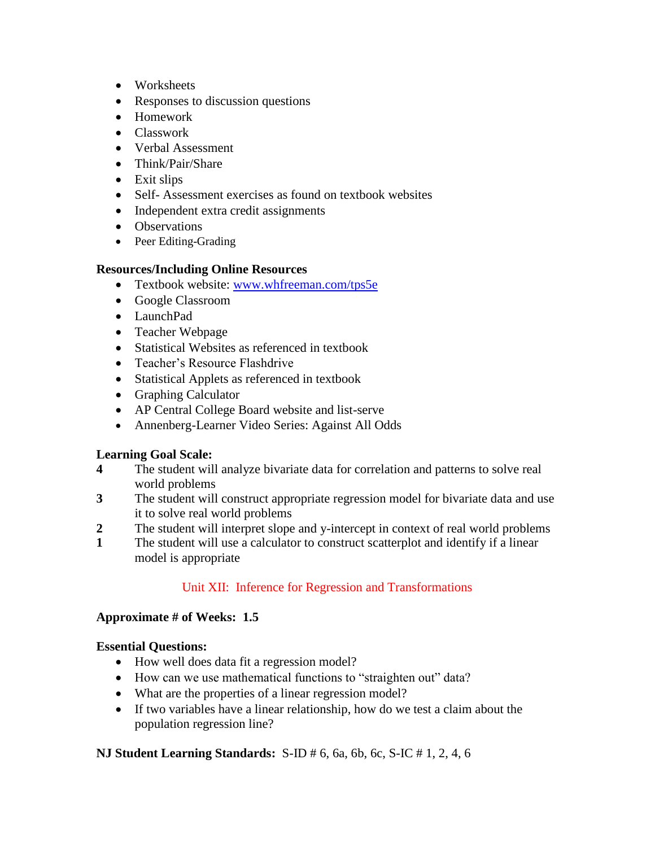- Worksheets
- Responses to discussion questions
- Homework
- Classwork
- Verbal Assessment
- Think/Pair/Share
- Exit slips
- Self- Assessment exercises as found on textbook websites
- Independent extra credit assignments
- Observations
- Peer Editing-Grading

#### **Resources/Including Online Resources**

- Textbook website: [www.whfreeman.com/tps5e](http://www.whfreeman.com/tps5e)
- Google Classroom
- LaunchPad
- Teacher Webpage
- Statistical Websites as referenced in textbook
- Teacher's Resource Flashdrive
- Statistical Applets as referenced in textbook
- Graphing Calculator
- AP Central College Board website and list-serve
- Annenberg-Learner Video Series: Against All Odds

## **Learning Goal Scale:**

- **4** The student will analyze bivariate data for correlation and patterns to solve real world problems
- **3** The student will construct appropriate regression model for bivariate data and use it to solve real world problems
- **2** The student will interpret slope and y-intercept in context of real world problems
- **1** The student will use a calculator to construct scatterplot and identify if a linear model is appropriate

## Unit XII: Inference for Regression and Transformations

## **Approximate # of Weeks: 1.5**

## **Essential Questions:**

- How well does data fit a regression model?
- How can we use mathematical functions to "straighten out" data?
- What are the properties of a linear regression model?
- If two variables have a linear relationship, how do we test a claim about the population regression line?

## **NJ Student Learning Standards:** S-ID # 6, 6a, 6b, 6c, S-IC # 1, 2, 4, 6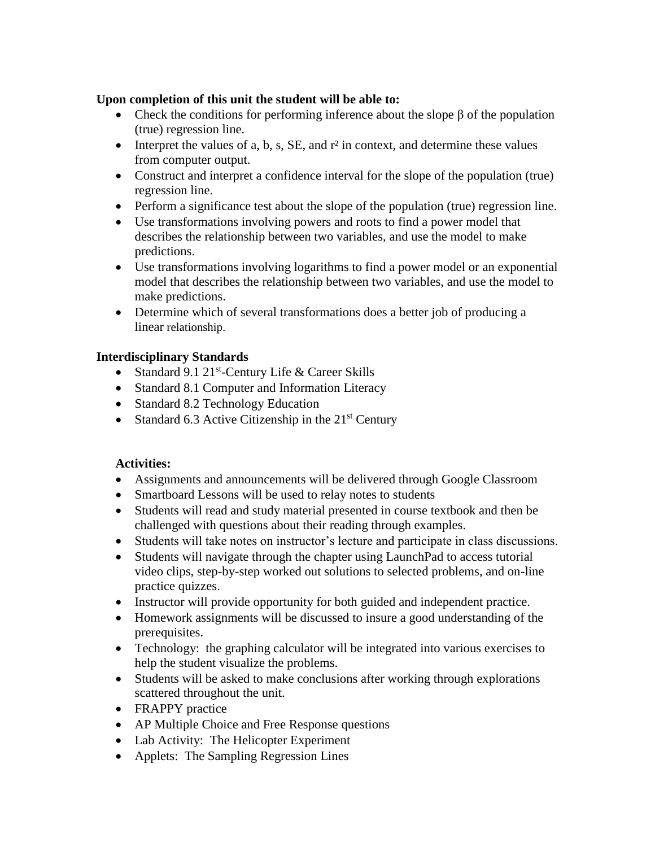## **Upon completion of this unit the student will be able to:**

- Check the conditions for performing inference about the slope  $\beta$  of the population (true) regression line.
- Interpret the values of a, b, s, SE, and  $r^2$  in context, and determine these values from computer output.
- Construct and interpret a confidence interval for the slope of the population (true) regression line.
- Perform a significance test about the slope of the population (true) regression line.
- Use transformations involving powers and roots to find a power model that describes the relationship between two variables, and use the model to make predictions.
- Use transformations involving logarithms to find a power model or an exponential model that describes the relationship between two variables, and use the model to make predictions.
- Determine which of several transformations does a better job of producing a linear relationship.

## **Interdisciplinary Standards**

- Standard 9.1 21<sup>st</sup>-Century Life & Career Skills
- Standard 8.1 Computer and Information Literacy
- Standard 8.2 Technology Education
- Standard 6.3 Active Citizenship in the  $21<sup>st</sup>$  Century

## **Activities:**

- Assignments and announcements will be delivered through Google Classroom
- Smartboard Lessons will be used to relay notes to students
- Students will read and study material presented in course textbook and then be challenged with questions about their reading through examples.
- Students will take notes on instructor's lecture and participate in class discussions.
- Students will navigate through the chapter using LaunchPad to access tutorial video clips, step-by-step worked out solutions to selected problems, and on-line practice quizzes.
- Instructor will provide opportunity for both guided and independent practice.
- Homework assignments will be discussed to insure a good understanding of the prerequisites.
- Technology: the graphing calculator will be integrated into various exercises to help the student visualize the problems.
- Students will be asked to make conclusions after working through explorations scattered throughout the unit.
- FRAPPY practice
- AP Multiple Choice and Free Response questions
- Lab Activity: The Helicopter Experiment
- Applets: The Sampling Regression Lines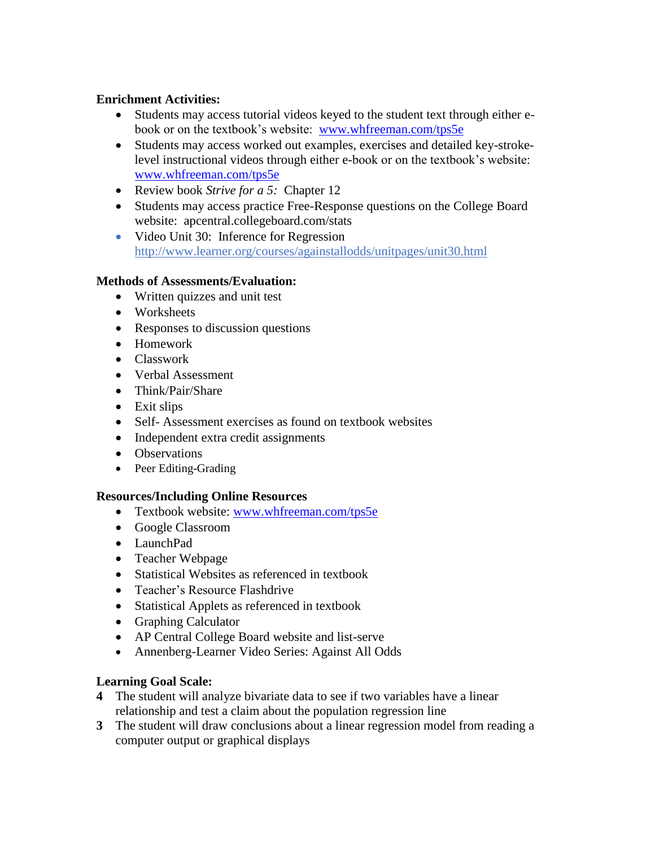## **Enrichment Activities:**

- Students may access tutorial videos keyed to the student text through either ebook or on the textbook's website: [www.whfreeman.com/tps5e](http://www.whfreeman.com/tps5e)
- Students may access worked out examples, exercises and detailed key-strokelevel instructional videos through either e-book or on the textbook's website: [www.whfreeman.com/tps5e](http://www.whfreeman.com/tps5e)
- Review book *Strive for a 5:* Chapter 12
- Students may access practice Free-Response questions on the College Board website: apcentral.collegeboard.com/stats
- Video Unit 30: Inference for Regression http://www.learner.org/courses/againstallodds/unitpages/unit30.html

#### **Methods of Assessments/Evaluation:**

- Written quizzes and unit test
- Worksheets
- Responses to discussion questions
- Homework
- Classwork
- Verbal Assessment
- Think/Pair/Share
- Exit slips
- Self- Assessment exercises as found on textbook websites
- Independent extra credit assignments
- Observations
- Peer Editing-Grading

## **Resources/Including Online Resources**

- Textbook website: [www.whfreeman.com/tps5e](http://www.whfreeman.com/tps5e)
- Google Classroom
- LaunchPad
- Teacher Webpage
- Statistical Websites as referenced in textbook
- Teacher's Resource Flashdrive
- Statistical Applets as referenced in textbook
- Graphing Calculator
- AP Central College Board website and list-serve
- Annenberg-Learner Video Series: Against All Odds

## **Learning Goal Scale:**

- **4** The student will analyze bivariate data to see if two variables have a linear relationship and test a claim about the population regression line
- **3** The student will draw conclusions about a linear regression model from reading a computer output or graphical displays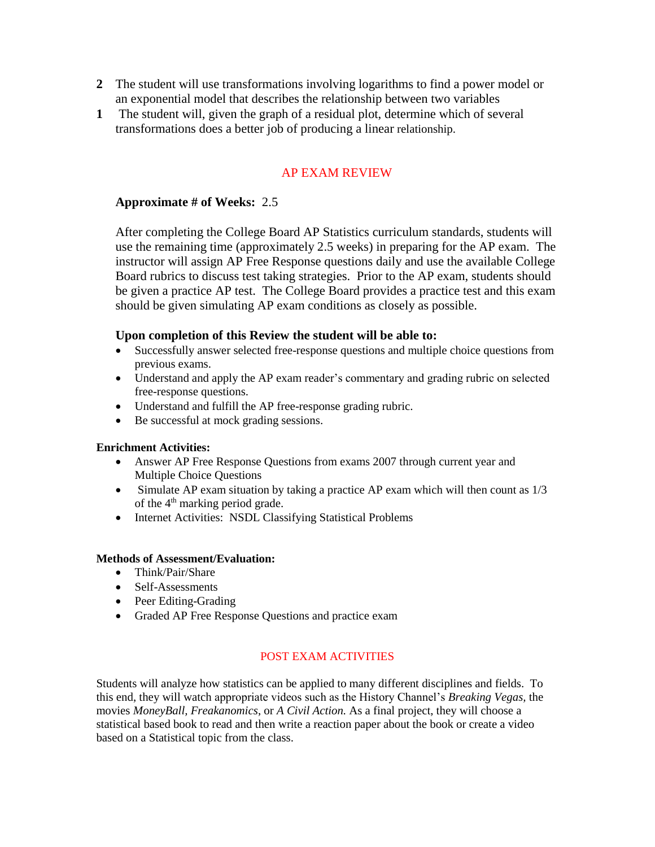- **2** The student will use transformations involving logarithms to find a power model or an exponential model that describes the relationship between two variables
- **1** The student will, given the graph of a residual plot, determine which of several transformations does a better job of producing a linear relationship.

## AP EXAM REVIEW

#### **Approximate # of Weeks:** 2.5

After completing the College Board AP Statistics curriculum standards, students will use the remaining time (approximately 2.5 weeks) in preparing for the AP exam. The instructor will assign AP Free Response questions daily and use the available College Board rubrics to discuss test taking strategies. Prior to the AP exam, students should be given a practice AP test. The College Board provides a practice test and this exam should be given simulating AP exam conditions as closely as possible.

#### **Upon completion of this Review the student will be able to:**

- Successfully answer selected free-response questions and multiple choice questions from previous exams.
- Understand and apply the AP exam reader's commentary and grading rubric on selected free-response questions.
- Understand and fulfill the AP free-response grading rubric.
- Be successful at mock grading sessions.

#### **Enrichment Activities:**

- Answer AP Free Response Questions from exams 2007 through current year and Multiple Choice Questions
- Simulate AP exam situation by taking a practice AP exam which will then count as  $1/3$ of the 4<sup>th</sup> marking period grade.
- Internet Activities: NSDL Classifying Statistical Problems

#### **Methods of Assessment/Evaluation:**

- Think/Pair/Share
- Self-Assessments
- Peer Editing-Grading
- Graded AP Free Response Questions and practice exam

#### POST EXAM ACTIVITIES

Students will analyze how statistics can be applied to many different disciplines and fields. To this end, they will watch appropriate videos such as the History Channel's *Breaking Vegas,* the movies *MoneyBall, Freakanomics*, or *A Civil Action.* As a final project, they will choose a statistical based book to read and then write a reaction paper about the book or create a video based on a Statistical topic from the class.